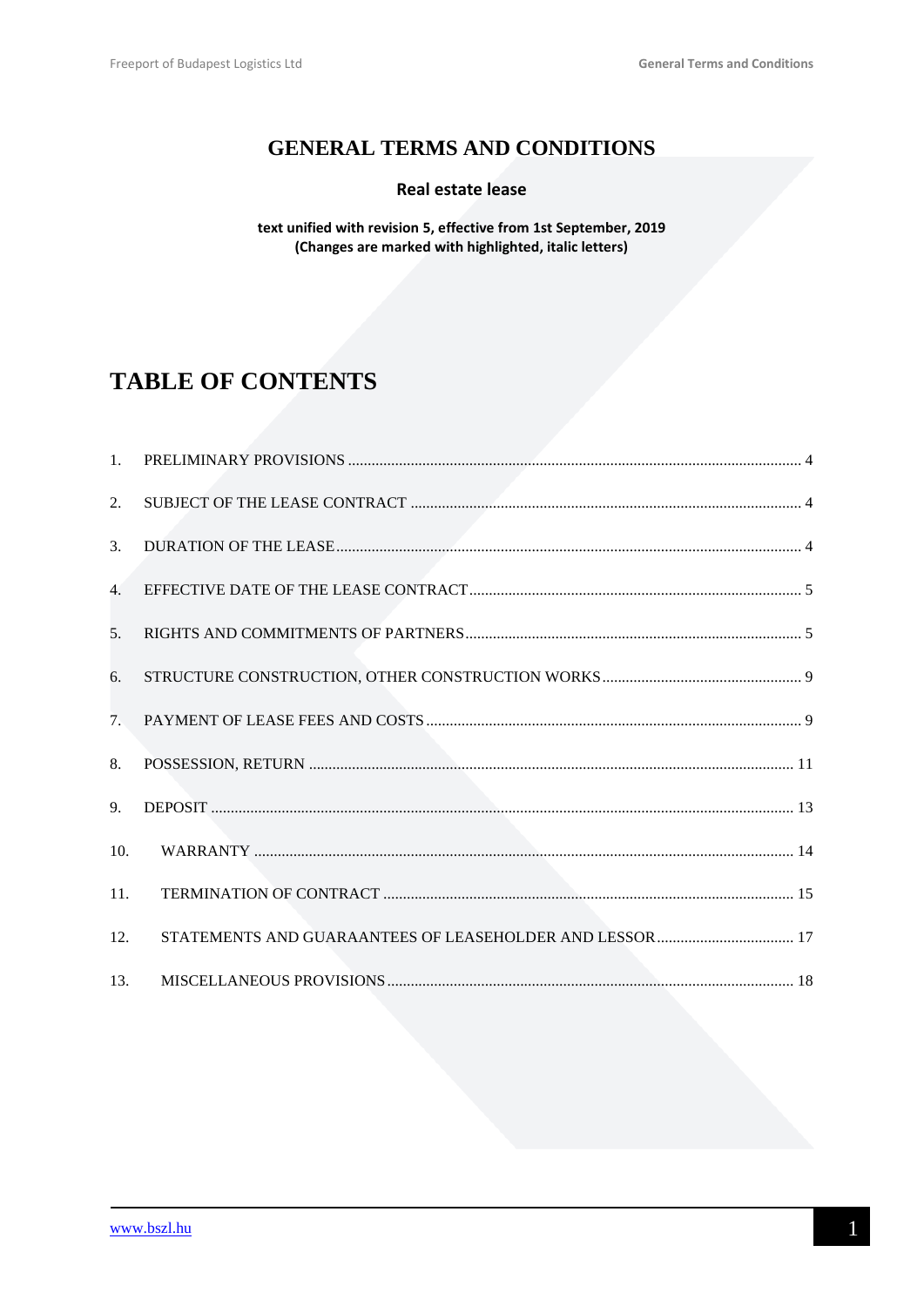## **GENERAL TERMS AND CONDITIONS**

### Real estate lease

text unified with revision 5, effective from 1st September, 2019 (Changes are marked with highlighted, italic letters)

# **TABLE OF CONTENTS**

| 1.             |                                                          |
|----------------|----------------------------------------------------------|
| 2.             |                                                          |
| 3.             |                                                          |
| 4.             |                                                          |
| 5 <sub>1</sub> |                                                          |
| 6.             |                                                          |
| 7.             |                                                          |
| 8.             |                                                          |
| 9.             |                                                          |
| 10.            |                                                          |
| 11.            |                                                          |
| 12.            | STATEMENTS AND GUARAANTEES OF LEASEHOLDER AND LESSOR  17 |
| 13.            |                                                          |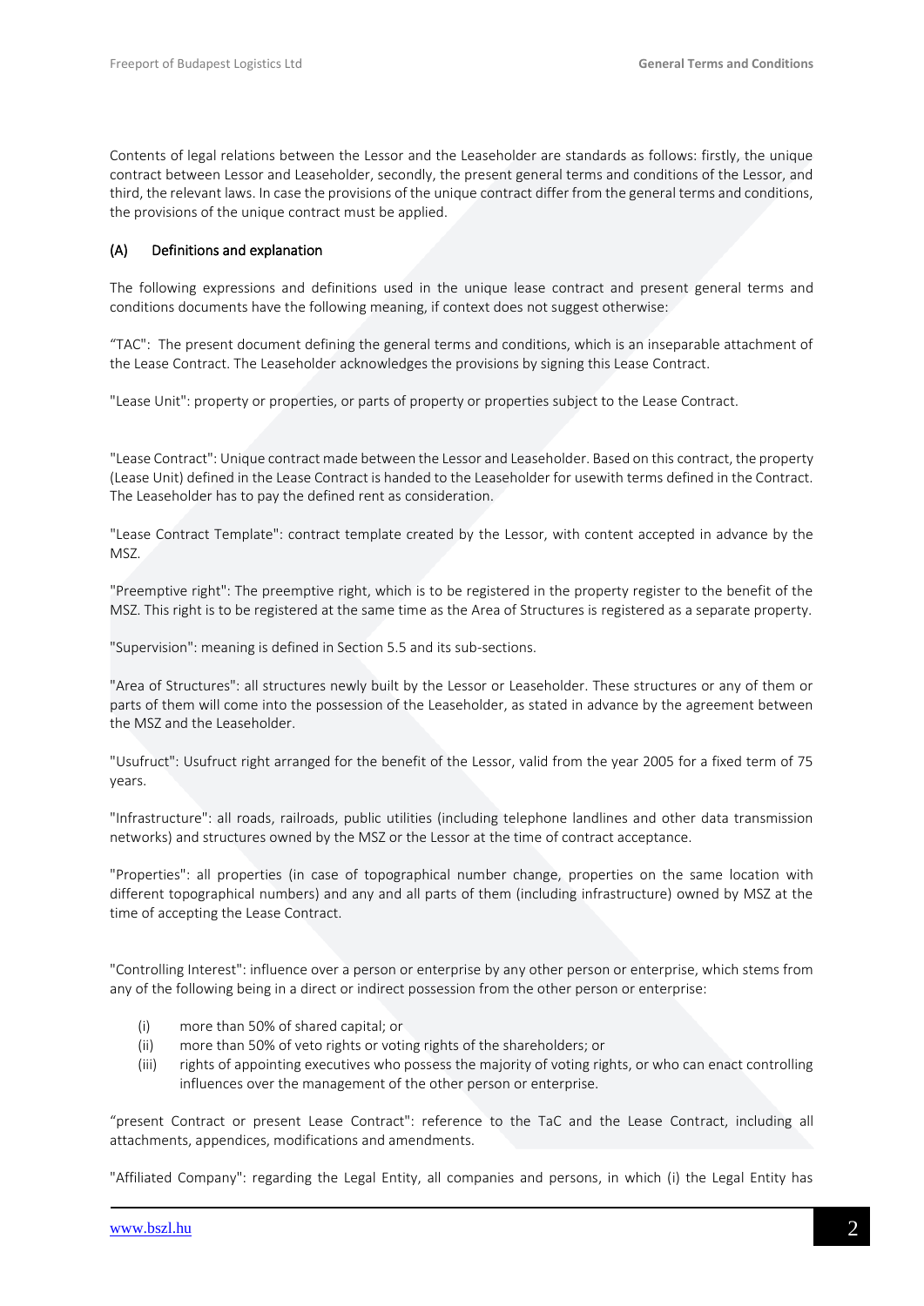Contents of legal relations between the Lessor and the Leaseholder are standards as follows: firstly, the unique contract between Lessor and Leaseholder, secondly, the present general terms and conditions of the Lessor, and third, the relevant laws. In case the provisions of the unique contract differ from the general terms and conditions, the provisions of the unique contract must be applied.

#### (A) Definitions and explanation

The following expressions and definitions used in the unique lease contract and present general terms and conditions documents have the following meaning, if context does not suggest otherwise:

"TAC": The present document defining the general terms and conditions, which is an inseparable attachment of the Lease Contract. The Leaseholder acknowledges the provisions by signing this Lease Contract.

"Lease Unit": property or properties, or parts of property or properties subject to the Lease Contract.

"Lease Contract": Unique contract made between the Lessor and Leaseholder. Based on this contract, the property (Lease Unit) defined in the Lease Contract is handed to the Leaseholder for usewith terms defined in the Contract. The Leaseholder has to pay the defined rent as consideration.

"Lease Contract Template": contract template created by the Lessor, with content accepted in advance by the MSZ.

"Preemptive right": The preemptive right, which is to be registered in the property register to the benefit of the MSZ. This right is to be registered at the same time as the Area of Structures is registered as a separate property.

"Supervision": meaning is defined in Section 5.5 and its sub-sections.

"Area of Structures": all structures newly built by the Lessor or Leaseholder. These structures or any of them or parts of them will come into the possession of the Leaseholder, as stated in advance by the agreement between the MSZ and the Leaseholder.

"Usufruct": Usufruct right arranged for the benefit of the Lessor, valid from the year 2005 for a fixed term of 75 years.

"Infrastructure": all roads, railroads, public utilities (including telephone landlines and other data transmission networks) and structures owned by the MSZ or the Lessor at the time of contract acceptance.

"Properties": all properties (in case of topographical number change, properties on the same location with different topographical numbers) and any and all parts of them (including infrastructure) owned by MSZ at the time of accepting the Lease Contract.

"Controlling Interest": influence over a person or enterprise by any other person or enterprise, which stems from any of the following being in a direct or indirect possession from the other person or enterprise:

- (i) more than 50% of shared capital; or
- (ii) more than 50% of veto rights or voting rights of the shareholders; or
- (iii) rights of appointing executives who possess the majority of voting rights, or who can enact controlling influences over the management of the other person or enterprise.

"present Contract or present Lease Contract": reference to the TaC and the Lease Contract, including all attachments, appendices, modifications and amendments.

"Affiliated Company": regarding the Legal Entity, all companies and persons, in which (i) the Legal Entity has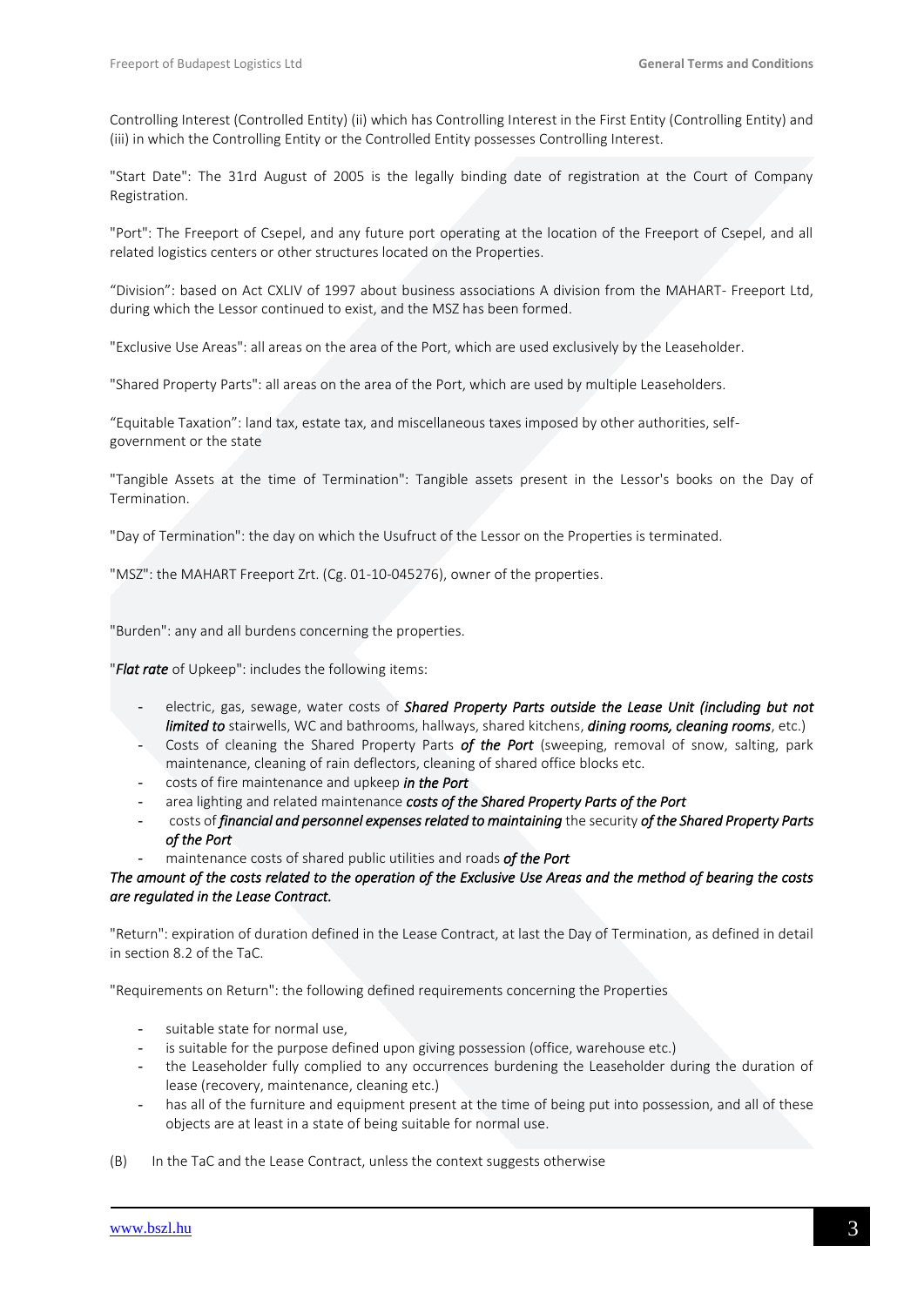Controlling Interest (Controlled Entity) (ii) which has Controlling Interest in the First Entity (Controlling Entity) and (iii) in which the Controlling Entity or the Controlled Entity possesses Controlling Interest.

"Start Date": The 31rd August of 2005 is the legally binding date of registration at the Court of Company Registration.

"Port": The Freeport of Csepel, and any future port operating at the location of the Freeport of Csepel, and all related logistics centers or other structures located on the Properties.

"Division": based on Act CXLIV of 1997 about business associations A division from the MAHART- Freeport Ltd, during which the Lessor continued to exist, and the MSZ has been formed.

"Exclusive Use Areas": all areas on the area of the Port, which are used exclusively by the Leaseholder.

"Shared Property Parts": all areas on the area of the Port, which are used by multiple Leaseholders.

"Equitable Taxation": land tax, estate tax, and miscellaneous taxes imposed by other authorities, selfgovernment or the state

"Tangible Assets at the time of Termination": Tangible assets present in the Lessor's books on the Day of Termination.

"Day of Termination": the day on which the Usufruct of the Lessor on the Properties is terminated.

"MSZ": the MAHART Freeport Zrt. (Cg. 01-10-045276), owner of the properties.

"Burden": any and all burdens concerning the properties.

"*Flat rate* of Upkeep": includes the following items:

- electric, gas, sewage, water costs of *Shared Property Parts outside the Lease Unit (including but not limited to* stairwells, WC and bathrooms, hallways, shared kitchens, *dining rooms, cleaning rooms*, etc.)
- Costs of cleaning the Shared Property Parts *of the Port* (sweeping, removal of snow, salting, park maintenance, cleaning of rain deflectors, cleaning of shared office blocks etc.
- costs of fire maintenance and upkeep *in the Port*
- area lighting and related maintenance *costs of the Shared Property Parts of the Port*
- costs of *financial and personnel expenses related to maintaining* the security *of the Shared Property Parts of the Port*
- maintenance costs of shared public utilities and roads *of the Port*

#### *The amount of the costs related to the operation of the Exclusive Use Areas and the method of bearing the costs are regulated in the Lease Contract.*

"Return": expiration of duration defined in the Lease Contract, at last the Day of Termination, as defined in detail in section 8.2 of the TaC.

"Requirements on Return": the following defined requirements concerning the Properties

- suitable state for normal use,
- is suitable for the purpose defined upon giving possession (office, warehouse etc.)
- the Leaseholder fully complied to any occurrences burdening the Leaseholder during the duration of lease (recovery, maintenance, cleaning etc.)
- has all of the furniture and equipment present at the time of being put into possession, and all of these objects are at least in a state of being suitable for normal use.
- (B) In the TaC and the Lease Contract, unless the context suggests otherwise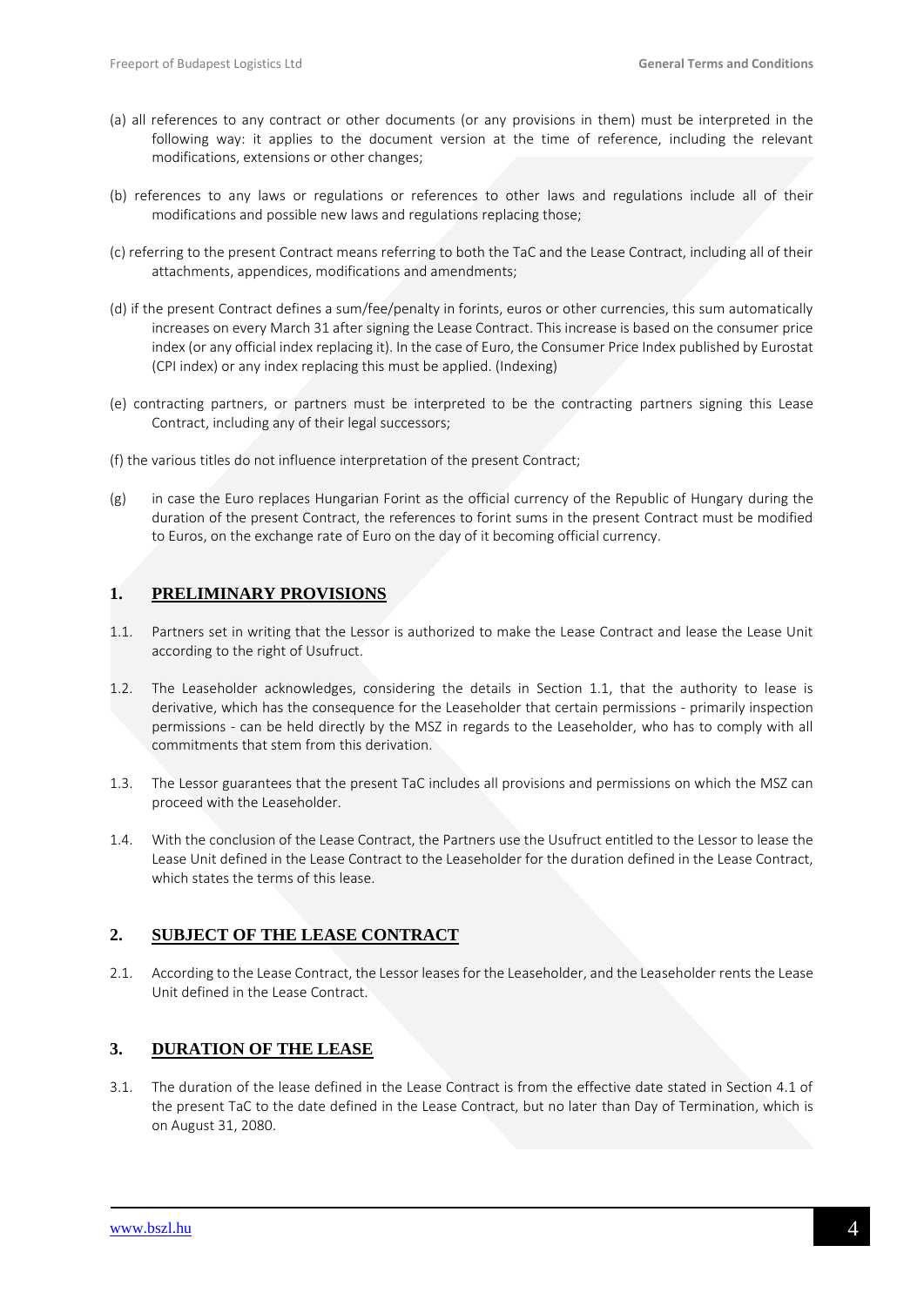- (a) all references to any contract or other documents (or any provisions in them) must be interpreted in the following way: it applies to the document version at the time of reference, including the relevant modifications, extensions or other changes;
- (b) references to any laws or regulations or references to other laws and regulations include all of their modifications and possible new laws and regulations replacing those;
- (c) referring to the present Contract means referring to both the TaC and the Lease Contract, including all of their attachments, appendices, modifications and amendments;
- (d) if the present Contract defines a sum/fee/penalty in forints, euros or other currencies, this sum automatically increases on every March 31 after signing the Lease Contract. This increase is based on the consumer price index (or any official index replacing it). In the case of Euro, the Consumer Price Index published by Eurostat (CPI index) or any index replacing this must be applied. (Indexing)
- (e) contracting partners, or partners must be interpreted to be the contracting partners signing this Lease Contract, including any of their legal successors;
- (f) the various titles do not influence interpretation of the present Contract;
- (g) in case the Euro replaces Hungarian Forint as the official currency of the Republic of Hungary during the duration of the present Contract, the references to forint sums in the present Contract must be modified to Euros, on the exchange rate of Euro on the day of it becoming official currency.

### <span id="page-3-0"></span>**1. PRELIMINARY PROVISIONS**

- 1.1. Partners set in writing that the Lessor is authorized to make the Lease Contract and lease the Lease Unit according to the right of Usufruct.
- 1.2. The Leaseholder acknowledges, considering the details in Section 1.1, that the authority to lease is derivative, which has the consequence for the Leaseholder that certain permissions - primarily inspection permissions - can be held directly by the MSZ in regards to the Leaseholder, who has to comply with all commitments that stem from this derivation.
- 1.3. The Lessor guarantees that the present TaC includes all provisions and permissions on which the MSZ can proceed with the Leaseholder.
- 1.4. With the conclusion of the Lease Contract, the Partners use the Usufruct entitled to the Lessor to lease the Lease Unit defined in the Lease Contract to the Leaseholder for the duration defined in the Lease Contract, which states the terms of this lease.

### <span id="page-3-1"></span>**2. SUBJECT OF THE LEASE CONTRACT**

2.1. According to the Lease Contract, the Lessor leases for the Leaseholder, and the Leaseholder rents the Lease Unit defined in the Lease Contract.

### <span id="page-3-2"></span>**3. DURATION OF THE LEASE**

3.1. The duration of the lease defined in the Lease Contract is from the effective date stated in Section 4.1 of the present TaC to the date defined in the Lease Contract, but no later than Day of Termination, which is on August 31, 2080.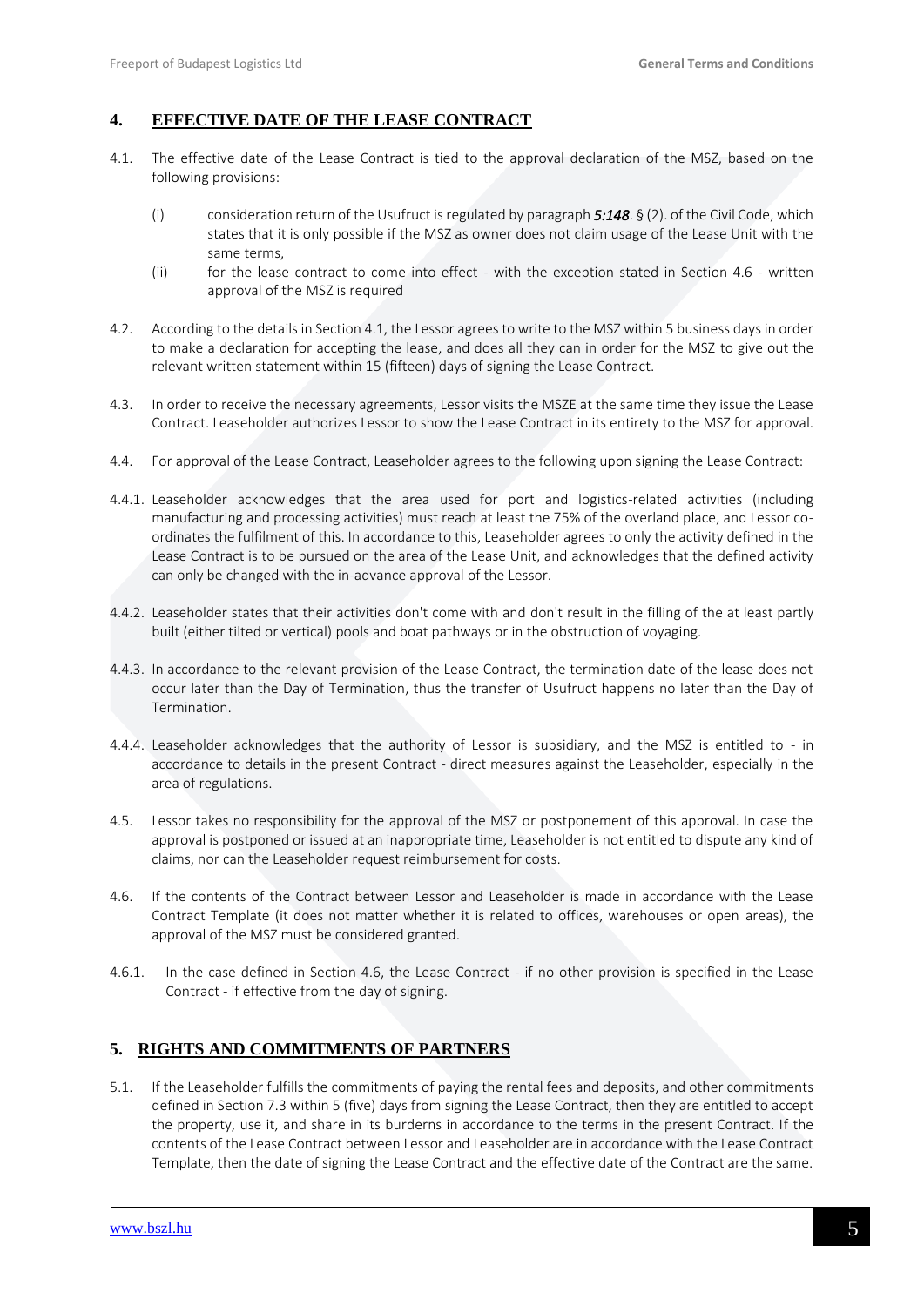### <span id="page-4-0"></span>**4. EFFECTIVE DATE OF THE LEASE CONTRACT**

- 4.1. The effective date of the Lease Contract is tied to the approval declaration of the MSZ, based on the following provisions:
	- (i) consideration return of the Usufruct is regulated by paragraph *5:148*. § (2). of the Civil Code, which states that it is only possible if the MSZ as owner does not claim usage of the Lease Unit with the same terms,
	- (ii) for the lease contract to come into effect with the exception stated in Section 4.6 written approval of the MSZ is required
- 4.2. According to the details in Section 4.1, the Lessor agrees to write to the MSZ within 5 business days in order to make a declaration for accepting the lease, and does all they can in order for the MSZ to give out the relevant written statement within 15 (fifteen) days of signing the Lease Contract.
- 4.3. In order to receive the necessary agreements, Lessor visits the MSZE at the same time they issue the Lease Contract. Leaseholder authorizes Lessor to show the Lease Contract in its entirety to the MSZ for approval.
- 4.4. For approval of the Lease Contract, Leaseholder agrees to the following upon signing the Lease Contract:
- 4.4.1. Leaseholder acknowledges that the area used for port and logistics-related activities (including manufacturing and processing activities) must reach at least the 75% of the overland place, and Lessor coordinates the fulfilment of this. In accordance to this, Leaseholder agrees to only the activity defined in the Lease Contract is to be pursued on the area of the Lease Unit, and acknowledges that the defined activity can only be changed with the in-advance approval of the Lessor.
- 4.4.2. Leaseholder states that their activities don't come with and don't result in the filling of the at least partly built (either tilted or vertical) pools and boat pathways or in the obstruction of voyaging.
- 4.4.3. In accordance to the relevant provision of the Lease Contract, the termination date of the lease does not occur later than the Day of Termination, thus the transfer of Usufruct happens no later than the Day of Termination.
- 4.4.4. Leaseholder acknowledges that the authority of Lessor is subsidiary, and the MSZ is entitled to in accordance to details in the present Contract - direct measures against the Leaseholder, especially in the area of regulations.
- 4.5. Lessor takes no responsibility for the approval of the MSZ or postponement of this approval. In case the approval is postponed or issued at an inappropriate time, Leaseholder is not entitled to dispute any kind of claims, nor can the Leaseholder request reimbursement for costs.
- 4.6. If the contents of the Contract between Lessor and Leaseholder is made in accordance with the Lease Contract Template (it does not matter whether it is related to offices, warehouses or open areas), the approval of the MSZ must be considered granted.
- 4.6.1. In the case defined in Section 4.6, the Lease Contract if no other provision is specified in the Lease Contract - if effective from the day of signing.

### <span id="page-4-1"></span>**5. RIGHTS AND COMMITMENTS OF PARTNERS**

5.1. If the Leaseholder fulfills the commitments of paying the rental fees and deposits, and other commitments defined in Section 7.3 within 5 (five) days from signing the Lease Contract, then they are entitled to accept the property, use it, and share in its burderns in accordance to the terms in the present Contract. If the contents of the Lease Contract between Lessor and Leaseholder are in accordance with the Lease Contract Template, then the date of signing the Lease Contract and the effective date of the Contract are the same.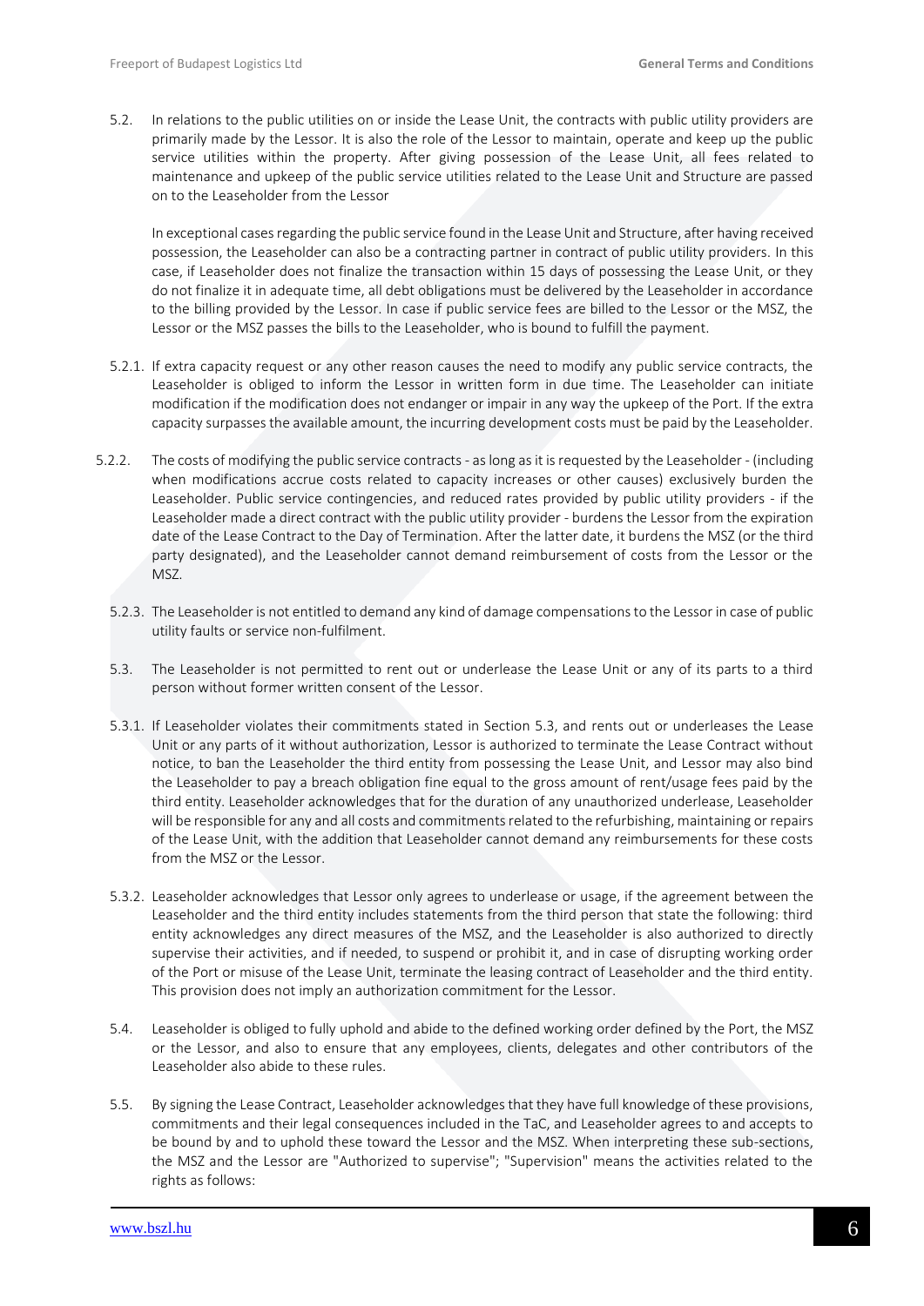5.2. In relations to the public utilities on or inside the Lease Unit, the contracts with public utility providers are primarily made by the Lessor. It is also the role of the Lessor to maintain, operate and keep up the public service utilities within the property. After giving possession of the Lease Unit, all fees related to maintenance and upkeep of the public service utilities related to the Lease Unit and Structure are passed on to the Leaseholder from the Lessor

In exceptional cases regarding the public service found in the Lease Unit and Structure, after having received possession, the Leaseholder can also be a contracting partner in contract of public utility providers. In this case, if Leaseholder does not finalize the transaction within 15 days of possessing the Lease Unit, or they do not finalize it in adequate time, all debt obligations must be delivered by the Leaseholder in accordance to the billing provided by the Lessor. In case if public service fees are billed to the Lessor or the MSZ, the Lessor or the MSZ passes the bills to the Leaseholder, who is bound to fulfill the payment.

- 5.2.1. If extra capacity request or any other reason causes the need to modify any public service contracts, the Leaseholder is obliged to inform the Lessor in written form in due time. The Leaseholder can initiate modification if the modification does not endanger or impair in any way the upkeep of the Port. If the extra capacity surpasses the available amount, the incurring development costs must be paid by the Leaseholder.
- 5.2.2. The costs of modifying the public service contracts as long as it is requested by the Leaseholder (including when modifications accrue costs related to capacity increases or other causes) exclusively burden the Leaseholder. Public service contingencies, and reduced rates provided by public utility providers - if the Leaseholder made a direct contract with the public utility provider - burdens the Lessor from the expiration date of the Lease Contract to the Day of Termination. After the latter date, it burdens the MSZ (or the third party designated), and the Leaseholder cannot demand reimbursement of costs from the Lessor or the MSZ.
	- 5.2.3. The Leaseholder is not entitled to demand any kind of damage compensations to the Lessor in case of public utility faults or service non-fulfilment.
	- 5.3. The Leaseholder is not permitted to rent out or underlease the Lease Unit or any of its parts to a third person without former written consent of the Lessor.
	- 5.3.1. If Leaseholder violates their commitments stated in Section 5.3, and rents out or underleases the Lease Unit or any parts of it without authorization, Lessor is authorized to terminate the Lease Contract without notice, to ban the Leaseholder the third entity from possessing the Lease Unit, and Lessor may also bind the Leaseholder to pay a breach obligation fine equal to the gross amount of rent/usage fees paid by the third entity. Leaseholder acknowledges that for the duration of any unauthorized underlease, Leaseholder will be responsible for any and all costs and commitments related to the refurbishing, maintaining or repairs of the Lease Unit, with the addition that Leaseholder cannot demand any reimbursements for these costs from the MSZ or the Lessor.
	- 5.3.2. Leaseholder acknowledges that Lessor only agrees to underlease or usage, if the agreement between the Leaseholder and the third entity includes statements from the third person that state the following: third entity acknowledges any direct measures of the MSZ, and the Leaseholder is also authorized to directly supervise their activities, and if needed, to suspend or prohibit it, and in case of disrupting working order of the Port or misuse of the Lease Unit, terminate the leasing contract of Leaseholder and the third entity. This provision does not imply an authorization commitment for the Lessor.
	- 5.4. Leaseholder is obliged to fully uphold and abide to the defined working order defined by the Port, the MSZ or the Lessor, and also to ensure that any employees, clients, delegates and other contributors of the Leaseholder also abide to these rules.
	- 5.5. By signing the Lease Contract, Leaseholder acknowledges that they have full knowledge of these provisions, commitments and their legal consequences included in the TaC, and Leaseholder agrees to and accepts to be bound by and to uphold these toward the Lessor and the MSZ. When interpreting these sub-sections, the MSZ and the Lessor are "Authorized to supervise"; "Supervision" means the activities related to the rights as follows: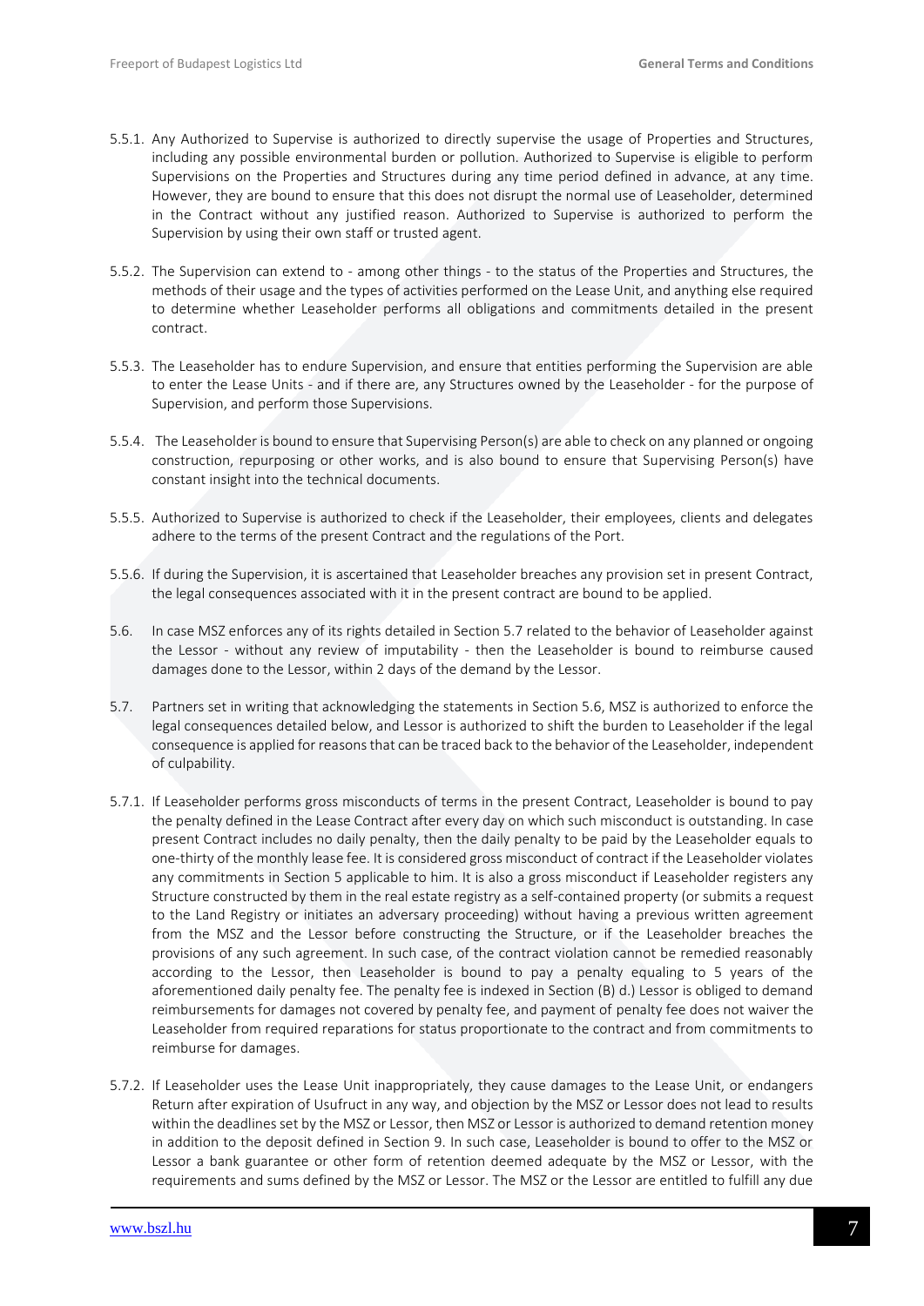- 5.5.1. Any Authorized to Supervise is authorized to directly supervise the usage of Properties and Structures, including any possible environmental burden or pollution. Authorized to Supervise is eligible to perform Supervisions on the Properties and Structures during any time period defined in advance, at any time. However, they are bound to ensure that this does not disrupt the normal use of Leaseholder, determined in the Contract without any justified reason. Authorized to Supervise is authorized to perform the Supervision by using their own staff or trusted agent.
- 5.5.2. The Supervision can extend to among other things to the status of the Properties and Structures, the methods of their usage and the types of activities performed on the Lease Unit, and anything else required to determine whether Leaseholder performs all obligations and commitments detailed in the present contract.
- 5.5.3. The Leaseholder has to endure Supervision, and ensure that entities performing the Supervision are able to enter the Lease Units - and if there are, any Structures owned by the Leaseholder - for the purpose of Supervision, and perform those Supervisions.
- 5.5.4. The Leaseholder is bound to ensure that Supervising Person(s) are able to check on any planned or ongoing construction, repurposing or other works, and is also bound to ensure that Supervising Person(s) have constant insight into the technical documents.
- 5.5.5. Authorized to Supervise is authorized to check if the Leaseholder, their employees, clients and delegates adhere to the terms of the present Contract and the regulations of the Port.
- 5.5.6. If during the Supervision, it is ascertained that Leaseholder breaches any provision set in present Contract, the legal consequences associated with it in the present contract are bound to be applied.
- 5.6. In case MSZ enforces any of its rights detailed in Section 5.7 related to the behavior of Leaseholder against the Lessor - without any review of imputability - then the Leaseholder is bound to reimburse caused damages done to the Lessor, within 2 days of the demand by the Lessor.
- 5.7. Partners set in writing that acknowledging the statements in Section 5.6, MSZ is authorized to enforce the legal consequences detailed below, and Lessor is authorized to shift the burden to Leaseholder if the legal consequence is applied for reasons that can be traced back to the behavior of the Leaseholder, independent of culpability.
- 5.7.1. If Leaseholder performs gross misconducts of terms in the present Contract, Leaseholder is bound to pay the penalty defined in the Lease Contract after every day on which such misconduct is outstanding. In case present Contract includes no daily penalty, then the daily penalty to be paid by the Leaseholder equals to one-thirty of the monthly lease fee. It is considered gross misconduct of contract if the Leaseholder violates any commitments in Section 5 applicable to him. It is also a gross misconduct if Leaseholder registers any Structure constructed by them in the real estate registry as a self-contained property (or submits a request to the Land Registry or initiates an adversary proceeding) without having a previous written agreement from the MSZ and the Lessor before constructing the Structure, or if the Leaseholder breaches the provisions of any such agreement. In such case, of the contract violation cannot be remedied reasonably according to the Lessor, then Leaseholder is bound to pay a penalty equaling to 5 years of the aforementioned daily penalty fee. The penalty fee is indexed in Section (B) d.) Lessor is obliged to demand reimbursements for damages not covered by penalty fee, and payment of penalty fee does not waiver the Leaseholder from required reparations for status proportionate to the contract and from commitments to reimburse for damages.
- 5.7.2. If Leaseholder uses the Lease Unit inappropriately, they cause damages to the Lease Unit, or endangers Return after expiration of Usufruct in any way, and objection by the MSZ or Lessor does not lead to results within the deadlines set by the MSZ or Lessor, then MSZ or Lessor is authorized to demand retention money in addition to the deposit defined in Section 9. In such case, Leaseholder is bound to offer to the MSZ or Lessor a bank guarantee or other form of retention deemed adequate by the MSZ or Lessor, with the requirements and sums defined by the MSZ or Lessor. The MSZ or the Lessor are entitled to fulfill any due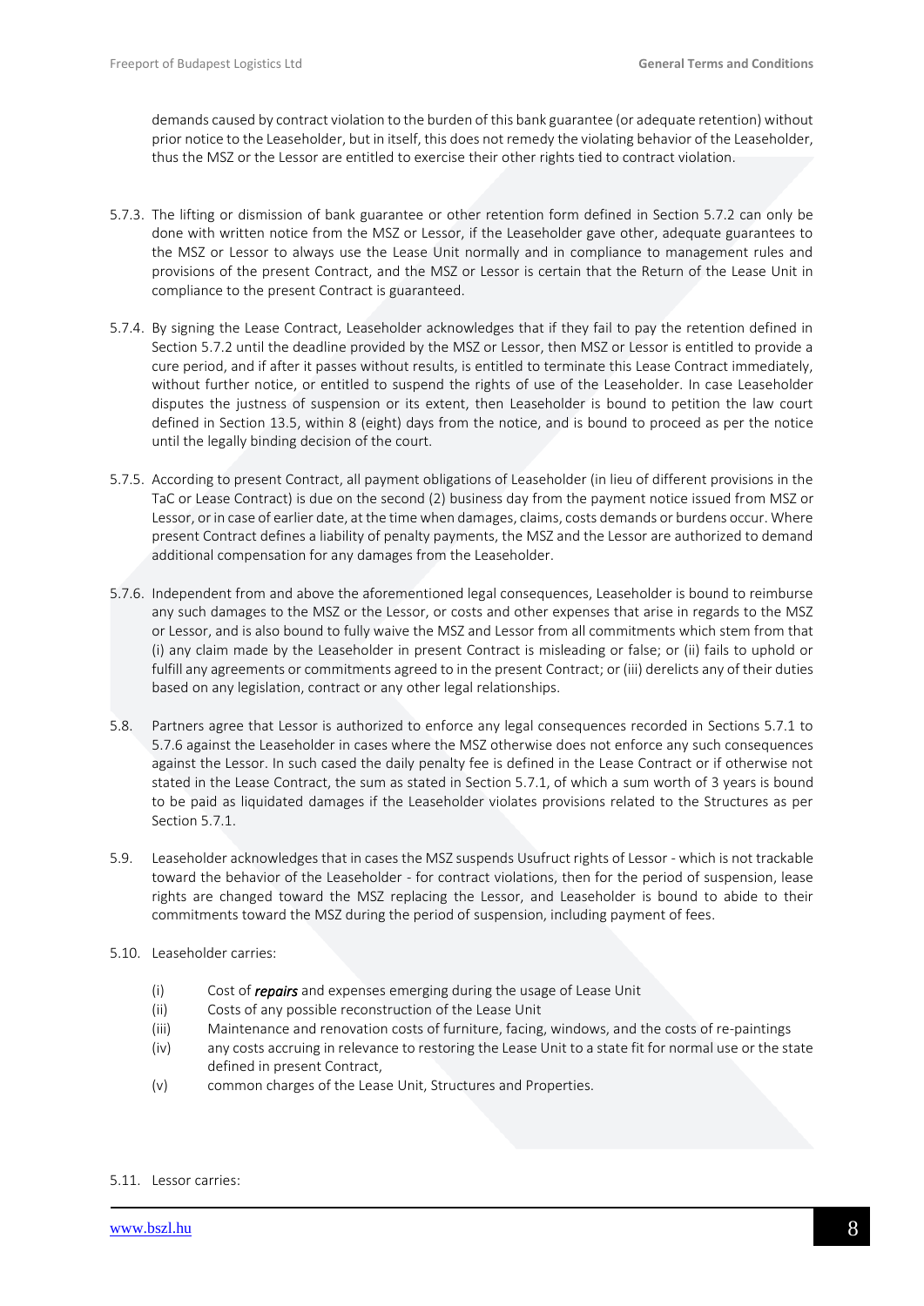demands caused by contract violation to the burden of this bank guarantee (or adequate retention) without prior notice to the Leaseholder, but in itself, this does not remedy the violating behavior of the Leaseholder, thus the MSZ or the Lessor are entitled to exercise their other rights tied to contract violation.

- 5.7.3. The lifting or dismission of bank guarantee or other retention form defined in Section 5.7.2 can only be done with written notice from the MSZ or Lessor, if the Leaseholder gave other, adequate guarantees to the MSZ or Lessor to always use the Lease Unit normally and in compliance to management rules and provisions of the present Contract, and the MSZ or Lessor is certain that the Return of the Lease Unit in compliance to the present Contract is guaranteed.
- 5.7.4. By signing the Lease Contract, Leaseholder acknowledges that if they fail to pay the retention defined in Section 5.7.2 until the deadline provided by the MSZ or Lessor, then MSZ or Lessor is entitled to provide a cure period, and if after it passes without results, is entitled to terminate this Lease Contract immediately, without further notice, or entitled to suspend the rights of use of the Leaseholder. In case Leaseholder disputes the justness of suspension or its extent, then Leaseholder is bound to petition the law court defined in Section 13.5, within 8 (eight) days from the notice, and is bound to proceed as per the notice until the legally binding decision of the court.
- 5.7.5. According to present Contract, all payment obligations of Leaseholder (in lieu of different provisions in the TaC or Lease Contract) is due on the second (2) business day from the payment notice issued from MSZ or Lessor, or in case of earlier date, at the time when damages, claims, costs demands or burdens occur. Where present Contract defines a liability of penalty payments, the MSZ and the Lessor are authorized to demand additional compensation for any damages from the Leaseholder.
- 5.7.6. Independent from and above the aforementioned legal consequences, Leaseholder is bound to reimburse any such damages to the MSZ or the Lessor, or costs and other expenses that arise in regards to the MSZ or Lessor, and is also bound to fully waive the MSZ and Lessor from all commitments which stem from that (i) any claim made by the Leaseholder in present Contract is misleading or false; or (ii) fails to uphold or fulfill any agreements or commitments agreed to in the present Contract; or (iii) derelicts any of their duties based on any legislation, contract or any other legal relationships.
- 5.8. Partners agree that Lessor is authorized to enforce any legal consequences recorded in Sections 5.7.1 to 5.7.6 against the Leaseholder in cases where the MSZ otherwise does not enforce any such consequences against the Lessor. In such cased the daily penalty fee is defined in the Lease Contract or if otherwise not stated in the Lease Contract, the sum as stated in Section 5.7.1, of which a sum worth of 3 years is bound to be paid as liquidated damages if the Leaseholder violates provisions related to the Structures as per Section 5.7.1.
- 5.9. Leaseholder acknowledges that in cases the MSZ suspends Usufruct rights of Lessor which is not trackable toward the behavior of the Leaseholder - for contract violations, then for the period of suspension, lease rights are changed toward the MSZ replacing the Lessor, and Leaseholder is bound to abide to their commitments toward the MSZ during the period of suspension, including payment of fees.
- 5.10. Leaseholder carries:
	- (i) Cost of *repairs* and expenses emerging during the usage of Lease Unit
	- (ii) Costs of any possible reconstruction of the Lease Unit
	- (iii) Maintenance and renovation costs of furniture, facing, windows, and the costs of re-paintings
	- (iv) any costs accruing in relevance to restoring the Lease Unit to a state fit for normal use or the state defined in present Contract,
	- (v) common charges of the Lease Unit, Structures and Properties.

#### 5.11. Lessor carries: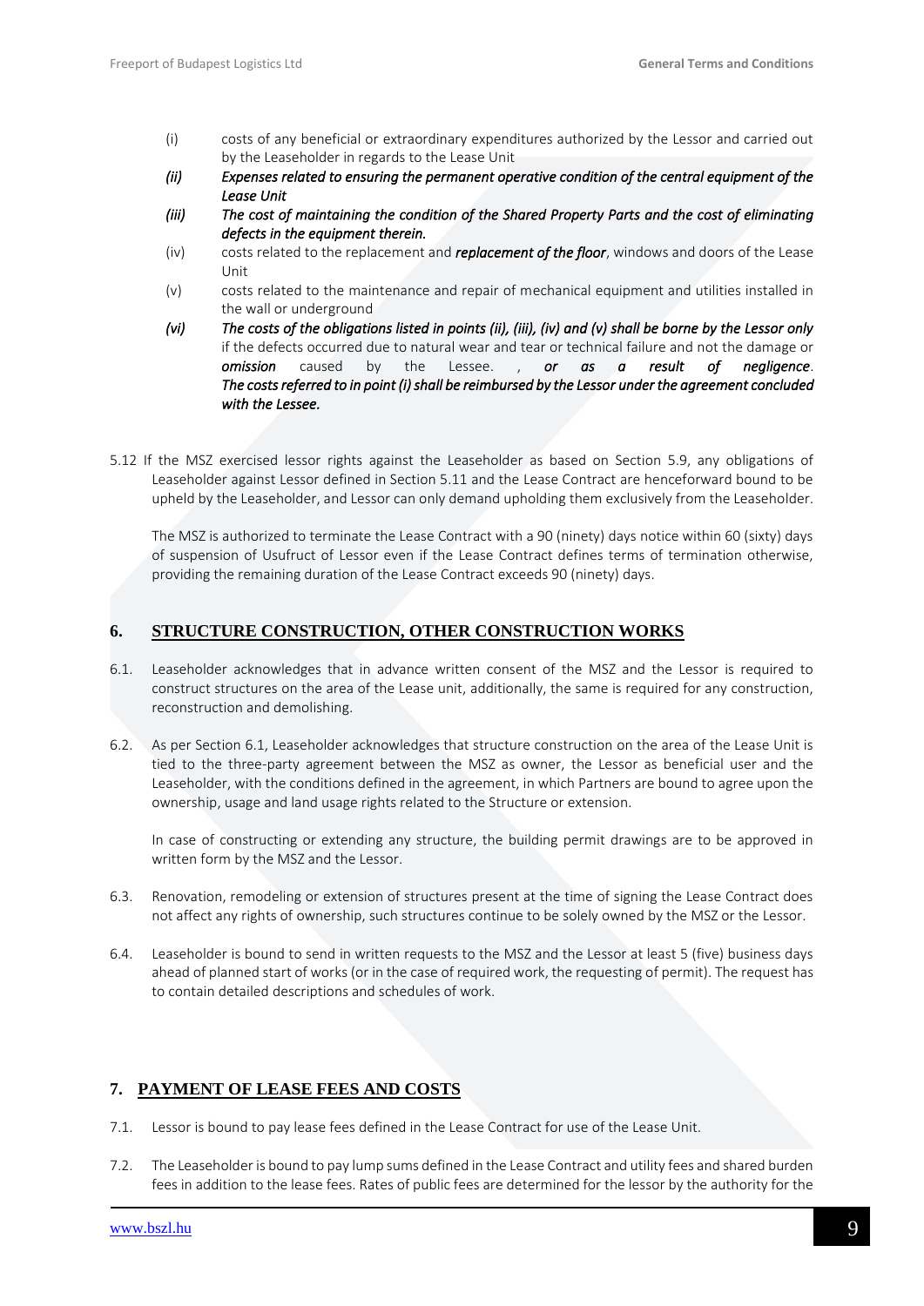- (i) costs of any beneficial or extraordinary expenditures authorized by the Lessor and carried out by the Leaseholder in regards to the Lease Unit
- *(ii) Expenses related to ensuring the permanent operative condition of the central equipment of the Lease Unit*
- *(iii) The cost of maintaining the condition of the Shared Property Parts and the cost of eliminating defects in the equipment therein.*
- (iv) costs related to the replacement and *replacement of the floor*, windows and doors of the Lease Unit
- (v) costs related to the maintenance and repair of mechanical equipment and utilities installed in the wall or underground
- *(vi) The costs of the obligations listed in points (ii), (iii), (iv) and (v) shall be borne by the Lessor only* if the defects occurred due to natural wear and tear or technical failure and not the damage or *omission* caused by the Lessee. , *or as a result of negligence*. *The costs referred to in point (i) shall be reimbursed by the Lessor under the agreement concluded with the Lessee.*
- 5.12 If the MSZ exercised lessor rights against the Leaseholder as based on Section 5.9, any obligations of Leaseholder against Lessor defined in Section 5.11 and the Lease Contract are henceforward bound to be upheld by the Leaseholder, and Lessor can only demand upholding them exclusively from the Leaseholder.

The MSZ is authorized to terminate the Lease Contract with a 90 (ninety) days notice within 60 (sixty) days of suspension of Usufruct of Lessor even if the Lease Contract defines terms of termination otherwise, providing the remaining duration of the Lease Contract exceeds 90 (ninety) days.

### <span id="page-8-0"></span>**6. STRUCTURE CONSTRUCTION, OTHER CONSTRUCTION WORKS**

- 6.1. Leaseholder acknowledges that in advance written consent of the MSZ and the Lessor is required to construct structures on the area of the Lease unit, additionally, the same is required for any construction, reconstruction and demolishing.
- 6.2. As per Section 6.1, Leaseholder acknowledges that structure construction on the area of the Lease Unit is tied to the three-party agreement between the MSZ as owner, the Lessor as beneficial user and the Leaseholder, with the conditions defined in the agreement, in which Partners are bound to agree upon the ownership, usage and land usage rights related to the Structure or extension.

In case of constructing or extending any structure, the building permit drawings are to be approved in written form by the MSZ and the Lessor.

- 6.3. Renovation, remodeling or extension of structures present at the time of signing the Lease Contract does not affect any rights of ownership, such structures continue to be solely owned by the MSZ or the Lessor.
- 6.4. Leaseholder is bound to send in written requests to the MSZ and the Lessor at least 5 (five) business days ahead of planned start of works (or in the case of required work, the requesting of permit). The request has to contain detailed descriptions and schedules of work.

### <span id="page-8-1"></span>**7. PAYMENT OF LEASE FEES AND COSTS**

- 7.1. Lessor is bound to pay lease fees defined in the Lease Contract for use of the Lease Unit.
- 7.2. The Leaseholder is bound to pay lump sums defined in the Lease Contract and utility fees and shared burden fees in addition to the lease fees. Rates of public fees are determined for the lessor by the authority for the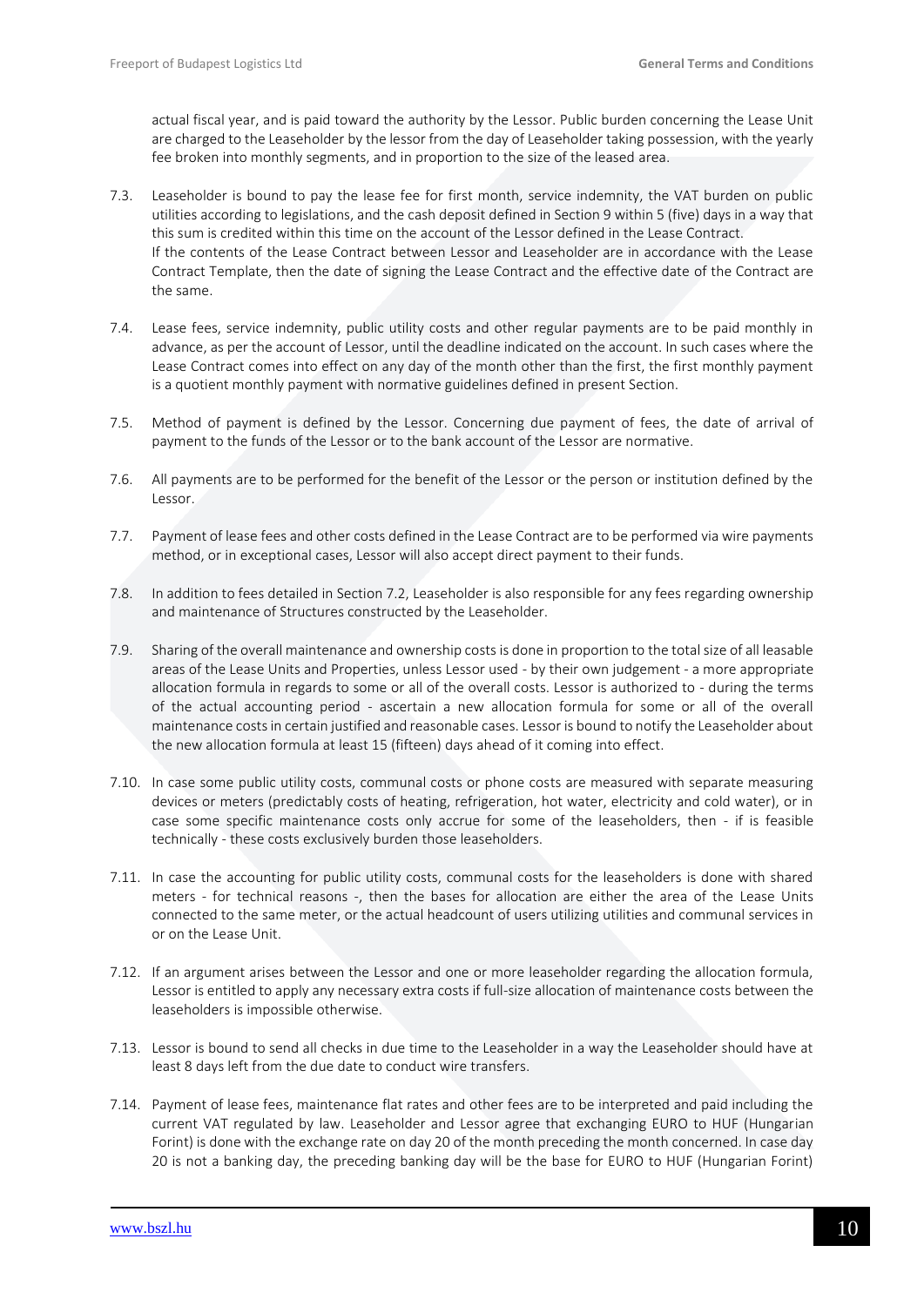actual fiscal year, and is paid toward the authority by the Lessor. Public burden concerning the Lease Unit are charged to the Leaseholder by the lessor from the day of Leaseholder taking possession, with the yearly fee broken into monthly segments, and in proportion to the size of the leased area.

- 7.3. Leaseholder is bound to pay the lease fee for first month, service indemnity, the VAT burden on public utilities according to legislations, and the cash deposit defined in Section 9 within 5 (five) days in a way that this sum is credited within this time on the account of the Lessor defined in the Lease Contract. If the contents of the Lease Contract between Lessor and Leaseholder are in accordance with the Lease Contract Template, then the date of signing the Lease Contract and the effective date of the Contract are the same.
- 7.4. Lease fees, service indemnity, public utility costs and other regular payments are to be paid monthly in advance, as per the account of Lessor, until the deadline indicated on the account. In such cases where the Lease Contract comes into effect on any day of the month other than the first, the first monthly payment is a quotient monthly payment with normative guidelines defined in present Section.
- 7.5. Method of payment is defined by the Lessor. Concerning due payment of fees, the date of arrival of payment to the funds of the Lessor or to the bank account of the Lessor are normative.
- 7.6. All payments are to be performed for the benefit of the Lessor or the person or institution defined by the Lessor.
- 7.7. Payment of lease fees and other costs defined in the Lease Contract are to be performed via wire payments method, or in exceptional cases, Lessor will also accept direct payment to their funds.
- 7.8. In addition to fees detailed in Section 7.2, Leaseholder is also responsible for any fees regarding ownership and maintenance of Structures constructed by the Leaseholder.
- 7.9. Sharing of the overall maintenance and ownership costs is done in proportion to the total size of all leasable areas of the Lease Units and Properties, unless Lessor used - by their own judgement - a more appropriate allocation formula in regards to some or all of the overall costs. Lessor is authorized to - during the terms of the actual accounting period - ascertain a new allocation formula for some or all of the overall maintenance costs in certain justified and reasonable cases. Lessor is bound to notify the Leaseholder about the new allocation formula at least 15 (fifteen) days ahead of it coming into effect.
- 7.10. In case some public utility costs, communal costs or phone costs are measured with separate measuring devices or meters (predictably costs of heating, refrigeration, hot water, electricity and cold water), or in case some specific maintenance costs only accrue for some of the leaseholders, then - if is feasible technically - these costs exclusively burden those leaseholders.
- 7.11. In case the accounting for public utility costs, communal costs for the leaseholders is done with shared meters - for technical reasons -, then the bases for allocation are either the area of the Lease Units connected to the same meter, or the actual headcount of users utilizing utilities and communal services in or on the Lease Unit.
- 7.12. If an argument arises between the Lessor and one or more leaseholder regarding the allocation formula, Lessor is entitled to apply any necessary extra costs if full-size allocation of maintenance costs between the leaseholders is impossible otherwise.
- 7.13. Lessor is bound to send all checks in due time to the Leaseholder in a way the Leaseholder should have at least 8 days left from the due date to conduct wire transfers.
- 7.14. Payment of lease fees, maintenance flat rates and other fees are to be interpreted and paid including the current VAT regulated by law. Leaseholder and Lessor agree that exchanging EURO to HUF (Hungarian Forint) is done with the exchange rate on day 20 of the month preceding the month concerned. In case day 20 is not a banking day, the preceding banking day will be the base for EURO to HUF (Hungarian Forint)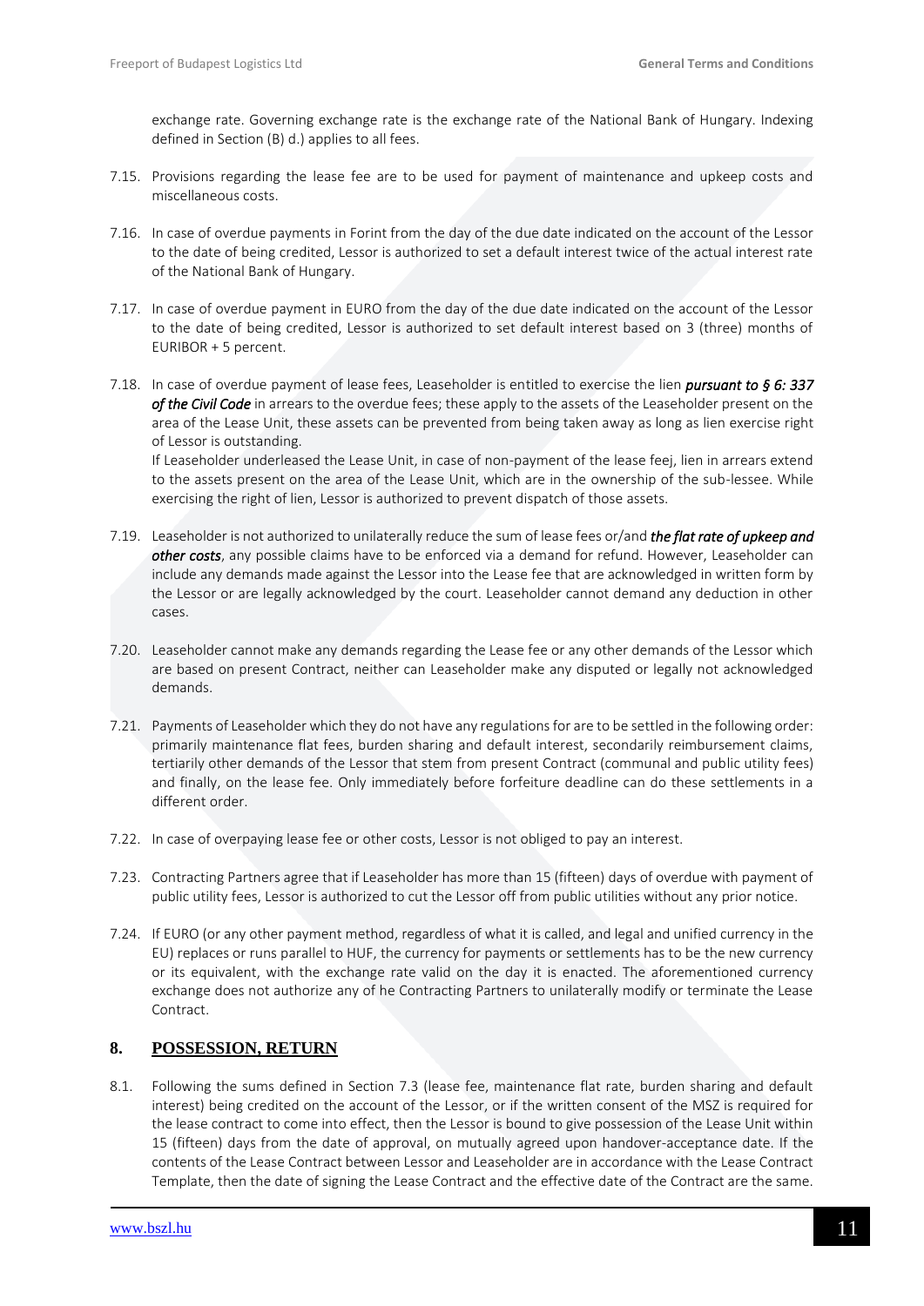exchange rate. Governing exchange rate is the exchange rate of the National Bank of Hungary. Indexing defined in Section (B) d.) applies to all fees.

- 7.15. Provisions regarding the lease fee are to be used for payment of maintenance and upkeep costs and miscellaneous costs.
- 7.16. In case of overdue payments in Forint from the day of the due date indicated on the account of the Lessor to the date of being credited, Lessor is authorized to set a default interest twice of the actual interest rate of the National Bank of Hungary.
- 7.17. In case of overdue payment in EURO from the day of the due date indicated on the account of the Lessor to the date of being credited, Lessor is authorized to set default interest based on 3 (three) months of EURIBOR + 5 percent.
- 7.18. In case of overdue payment of lease fees, Leaseholder is entitled to exercise the lien *pursuant to § 6: 337 of the Civil Code* in arrears to the overdue fees; these apply to the assets of the Leaseholder present on the area of the Lease Unit, these assets can be prevented from being taken away as long as lien exercise right of Lessor is outstanding.

If Leaseholder underleased the Lease Unit, in case of non-payment of the lease feej, lien in arrears extend to the assets present on the area of the Lease Unit, which are in the ownership of the sub-lessee. While exercising the right of lien, Lessor is authorized to prevent dispatch of those assets.

- 7.19. Leaseholder is not authorized to unilaterally reduce the sum of lease fees or/and *the flat rate of upkeep and other costs*, any possible claims have to be enforced via a demand for refund. However, Leaseholder can include any demands made against the Lessor into the Lease fee that are acknowledged in written form by the Lessor or are legally acknowledged by the court. Leaseholder cannot demand any deduction in other cases.
- 7.20. Leaseholder cannot make any demands regarding the Lease fee or any other demands of the Lessor which are based on present Contract, neither can Leaseholder make any disputed or legally not acknowledged demands.
- 7.21. Payments of Leaseholder which they do not have any regulations for are to be settled in the following order: primarily maintenance flat fees, burden sharing and default interest, secondarily reimbursement claims, tertiarily other demands of the Lessor that stem from present Contract (communal and public utility fees) and finally, on the lease fee. Only immediately before forfeiture deadline can do these settlements in a different order.
- 7.22. In case of overpaying lease fee or other costs, Lessor is not obliged to pay an interest.
- 7.23. Contracting Partners agree that if Leaseholder has more than 15 (fifteen) days of overdue with payment of public utility fees, Lessor is authorized to cut the Lessor off from public utilities without any prior notice.
- 7.24. If EURO (or any other payment method, regardless of what it is called, and legal and unified currency in the EU) replaces or runs parallel to HUF, the currency for payments or settlements has to be the new currency or its equivalent, with the exchange rate valid on the day it is enacted. The aforementioned currency exchange does not authorize any of he Contracting Partners to unilaterally modify or terminate the Lease Contract.

### <span id="page-10-0"></span>**8. POSSESSION, RETURN**

8.1. Following the sums defined in Section 7.3 (lease fee, maintenance flat rate, burden sharing and default interest) being credited on the account of the Lessor, or if the written consent of the MSZ is required for the lease contract to come into effect, then the Lessor is bound to give possession of the Lease Unit within 15 (fifteen) days from the date of approval, on mutually agreed upon handover-acceptance date. If the contents of the Lease Contract between Lessor and Leaseholder are in accordance with the Lease Contract Template, then the date of signing the Lease Contract and the effective date of the Contract are the same.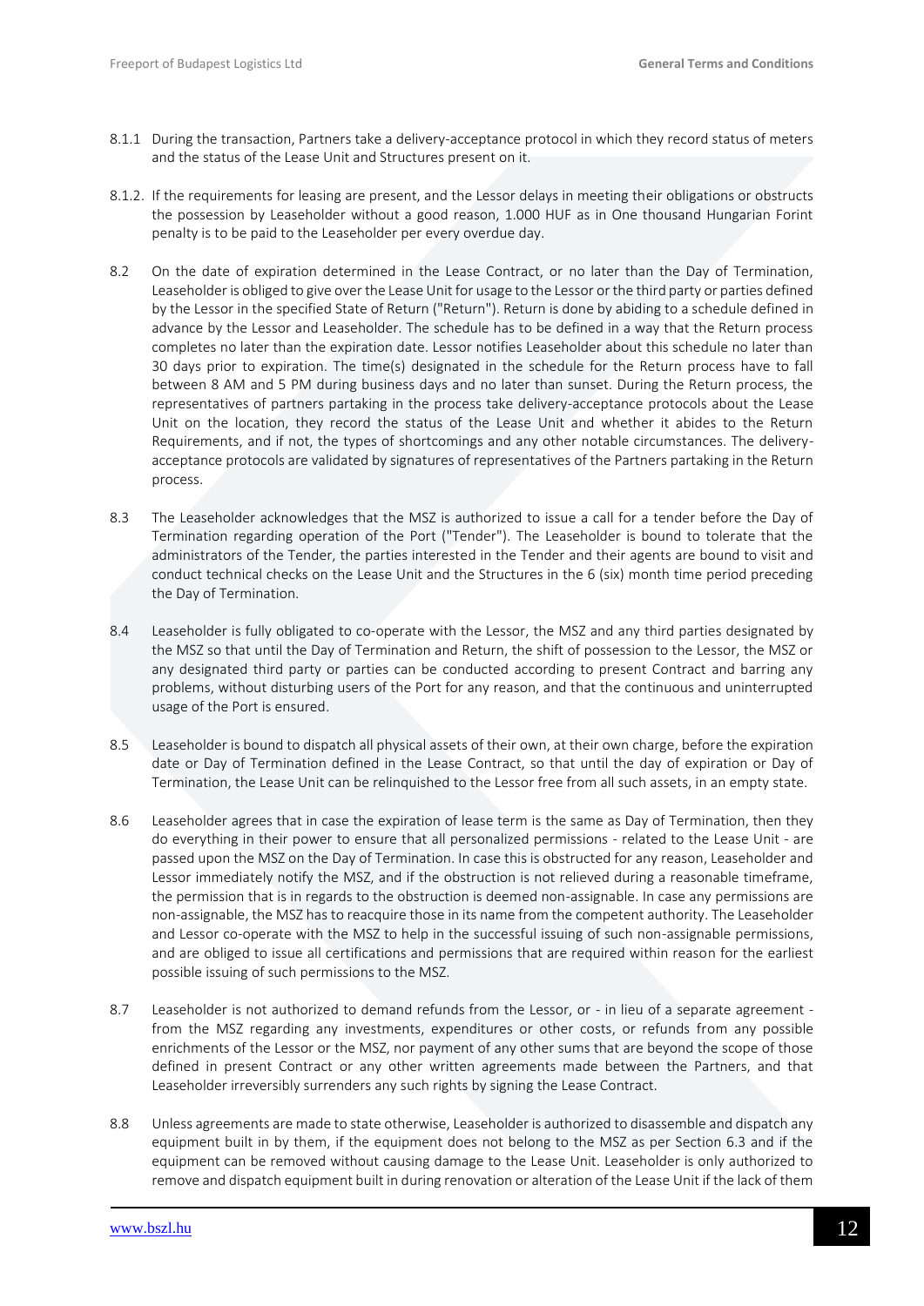- 8.1.1 During the transaction, Partners take a delivery-acceptance protocol in which they record status of meters and the status of the Lease Unit and Structures present on it.
- 8.1.2. If the requirements for leasing are present, and the Lessor delays in meeting their obligations or obstructs the possession by Leaseholder without a good reason, 1.000 HUF as in One thousand Hungarian Forint penalty is to be paid to the Leaseholder per every overdue day.
- 8.2 On the date of expiration determined in the Lease Contract, or no later than the Day of Termination, Leaseholder is obliged to give over the Lease Unit for usage to the Lessor or the third party or parties defined by the Lessor in the specified State of Return ("Return"). Return is done by abiding to a schedule defined in advance by the Lessor and Leaseholder. The schedule has to be defined in a way that the Return process completes no later than the expiration date. Lessor notifies Leaseholder about this schedule no later than 30 days prior to expiration. The time(s) designated in the schedule for the Return process have to fall between 8 AM and 5 PM during business days and no later than sunset. During the Return process, the representatives of partners partaking in the process take delivery-acceptance protocols about the Lease Unit on the location, they record the status of the Lease Unit and whether it abides to the Return Requirements, and if not, the types of shortcomings and any other notable circumstances. The deliveryacceptance protocols are validated by signatures of representatives of the Partners partaking in the Return process.
- 8.3 The Leaseholder acknowledges that the MSZ is authorized to issue a call for a tender before the Day of Termination regarding operation of the Port ("Tender"). The Leaseholder is bound to tolerate that the administrators of the Tender, the parties interested in the Tender and their agents are bound to visit and conduct technical checks on the Lease Unit and the Structures in the 6 (six) month time period preceding the Day of Termination.
- 8.4 Leaseholder is fully obligated to co-operate with the Lessor, the MSZ and any third parties designated by the MSZ so that until the Day of Termination and Return, the shift of possession to the Lessor, the MSZ or any designated third party or parties can be conducted according to present Contract and barring any problems, without disturbing users of the Port for any reason, and that the continuous and uninterrupted usage of the Port is ensured.
- 8.5 Leaseholder is bound to dispatch all physical assets of their own, at their own charge, before the expiration date or Day of Termination defined in the Lease Contract, so that until the day of expiration or Day of Termination, the Lease Unit can be relinquished to the Lessor free from all such assets, in an empty state.
- 8.6 Leaseholder agrees that in case the expiration of lease term is the same as Day of Termination, then they do everything in their power to ensure that all personalized permissions - related to the Lease Unit - are passed upon the MSZ on the Day of Termination. In case this is obstructed for any reason, Leaseholder and Lessor immediately notify the MSZ, and if the obstruction is not relieved during a reasonable timeframe, the permission that is in regards to the obstruction is deemed non-assignable. In case any permissions are non-assignable, the MSZ has to reacquire those in its name from the competent authority. The Leaseholder and Lessor co-operate with the MSZ to help in the successful issuing of such non-assignable permissions, and are obliged to issue all certifications and permissions that are required within reason for the earliest possible issuing of such permissions to the MSZ.
- 8.7 Leaseholder is not authorized to demand refunds from the Lessor, or in lieu of a separate agreement from the MSZ regarding any investments, expenditures or other costs, or refunds from any possible enrichments of the Lessor or the MSZ, nor payment of any other sums that are beyond the scope of those defined in present Contract or any other written agreements made between the Partners, and that Leaseholder irreversibly surrenders any such rights by signing the Lease Contract.
- 8.8 Unless agreements are made to state otherwise, Leaseholder is authorized to disassemble and dispatch any equipment built in by them, if the equipment does not belong to the MSZ as per Section 6.3 and if the equipment can be removed without causing damage to the Lease Unit. Leaseholder is only authorized to remove and dispatch equipment built in during renovation or alteration of the Lease Unit if the lack of them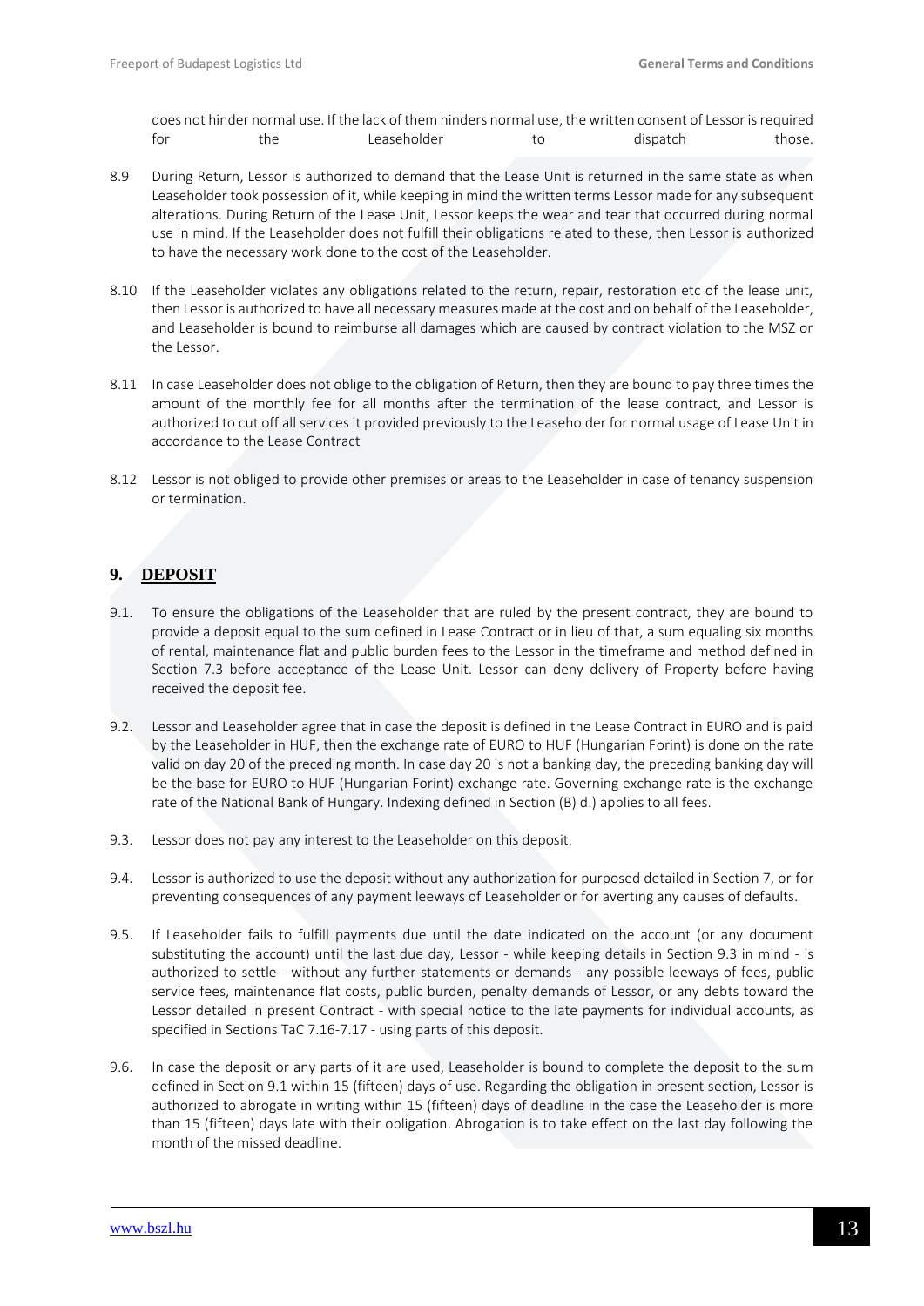does not hinder normal use. If the lack of them hinders normal use, the written consent of Lessor is required for the Leaseholder to dispatch those.

- 8.9 During Return, Lessor is authorized to demand that the Lease Unit is returned in the same state as when Leaseholder took possession of it, while keeping in mind the written terms Lessor made for any subsequent alterations. During Return of the Lease Unit, Lessor keeps the wear and tear that occurred during normal use in mind. If the Leaseholder does not fulfill their obligations related to these, then Lessor is authorized to have the necessary work done to the cost of the Leaseholder.
- 8.10 If the Leaseholder violates any obligations related to the return, repair, restoration etc of the lease unit, then Lessor is authorized to have all necessary measures made at the cost and on behalf of the Leaseholder, and Leaseholder is bound to reimburse all damages which are caused by contract violation to the MSZ or the Lessor.
- 8.11 In case Leaseholder does not oblige to the obligation of Return, then they are bound to pay three times the amount of the monthly fee for all months after the termination of the lease contract, and Lessor is authorized to cut off all services it provided previously to the Leaseholder for normal usage of Lease Unit in accordance to the Lease Contract
- 8.12 Lessor is not obliged to provide other premises or areas to the Leaseholder in case of tenancy suspension or termination.

### <span id="page-12-0"></span>**9. DEPOSIT**

- 9.1. To ensure the obligations of the Leaseholder that are ruled by the present contract, they are bound to provide a deposit equal to the sum defined in Lease Contract or in lieu of that, a sum equaling six months of rental, maintenance flat and public burden fees to the Lessor in the timeframe and method defined in Section 7.3 before acceptance of the Lease Unit. Lessor can deny delivery of Property before having received the deposit fee.
- 9.2. Lessor and Leaseholder agree that in case the deposit is defined in the Lease Contract in EURO and is paid by the Leaseholder in HUF, then the exchange rate of EURO to HUF (Hungarian Forint) is done on the rate valid on day 20 of the preceding month. In case day 20 is not a banking day, the preceding banking day will be the base for EURO to HUF (Hungarian Forint) exchange rate. Governing exchange rate is the exchange rate of the National Bank of Hungary. Indexing defined in Section (B) d.) applies to all fees.
- 9.3. Lessor does not pay any interest to the Leaseholder on this deposit.
- 9.4. Lessor is authorized to use the deposit without any authorization for purposed detailed in Section 7, or for preventing consequences of any payment leeways of Leaseholder or for averting any causes of defaults.
- 9.5. If Leaseholder fails to fulfill payments due until the date indicated on the account (or any document substituting the account) until the last due day, Lessor - while keeping details in Section 9.3 in mind - is authorized to settle - without any further statements or demands - any possible leeways of fees, public service fees, maintenance flat costs, public burden, penalty demands of Lessor, or any debts toward the Lessor detailed in present Contract - with special notice to the late payments for individual accounts, as specified in Sections TaC 7.16-7.17 - using parts of this deposit.
- 9.6. In case the deposit or any parts of it are used, Leaseholder is bound to complete the deposit to the sum defined in Section 9.1 within 15 (fifteen) days of use. Regarding the obligation in present section, Lessor is authorized to abrogate in writing within 15 (fifteen) days of deadline in the case the Leaseholder is more than 15 (fifteen) days late with their obligation. Abrogation is to take effect on the last day following the month of the missed deadline.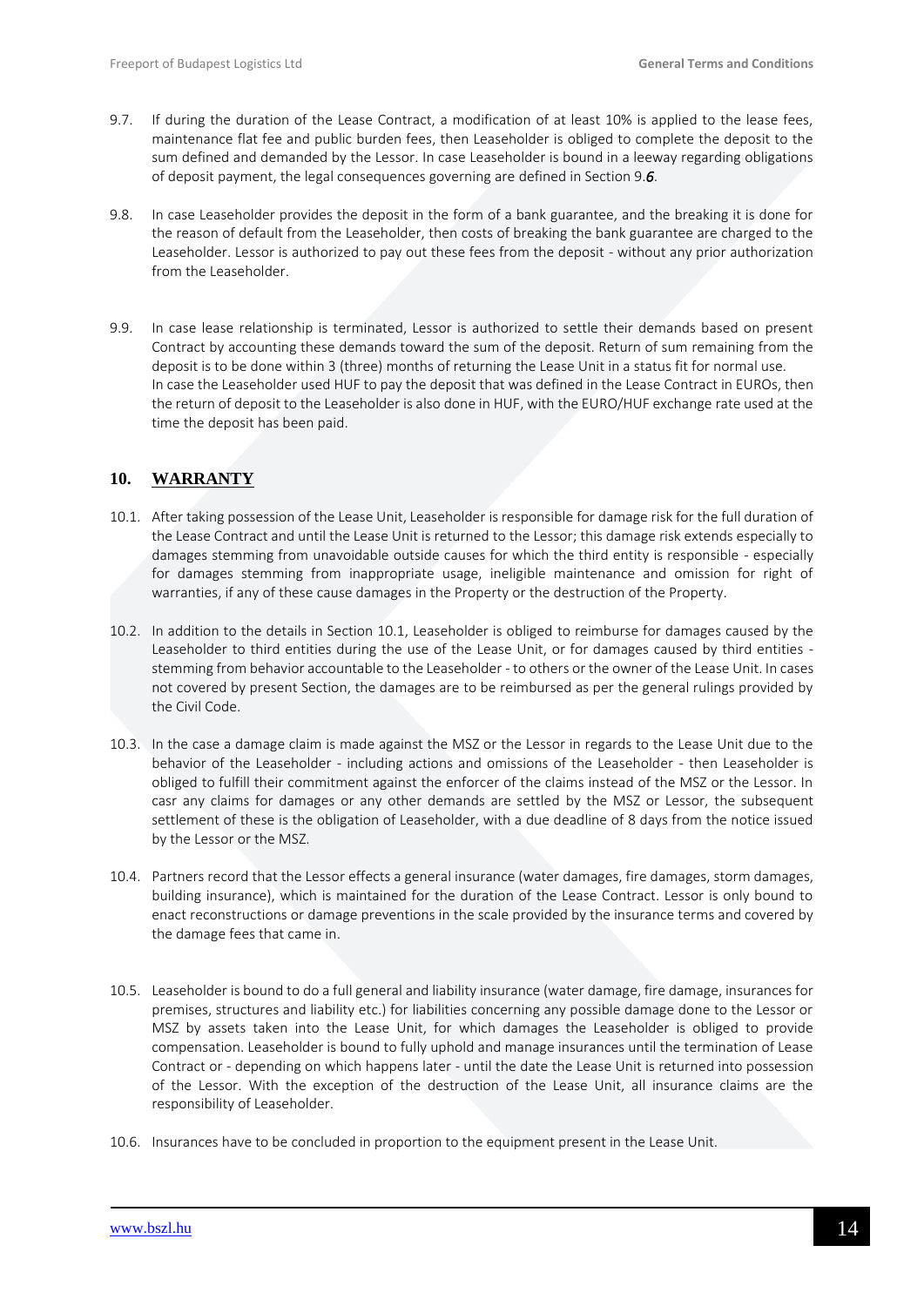- 9.7. If during the duration of the Lease Contract, a modification of at least 10% is applied to the lease fees, maintenance flat fee and public burden fees, then Leaseholder is obliged to complete the deposit to the sum defined and demanded by the Lessor. In case Leaseholder is bound in a leeway regarding obligations of deposit payment, the legal consequences governing are defined in Section 9.*6*.
- 9.8. In case Leaseholder provides the deposit in the form of a bank guarantee, and the breaking it is done for the reason of default from the Leaseholder, then costs of breaking the bank guarantee are charged to the Leaseholder. Lessor is authorized to pay out these fees from the deposit - without any prior authorization from the Leaseholder.
- 9.9. In case lease relationship is terminated, Lessor is authorized to settle their demands based on present Contract by accounting these demands toward the sum of the deposit. Return of sum remaining from the deposit is to be done within 3 (three) months of returning the Lease Unit in a status fit for normal use. In case the Leaseholder used HUF to pay the deposit that was defined in the Lease Contract in EUROs, then the return of deposit to the Leaseholder is also done in HUF, with the EURO/HUF exchange rate used at the time the deposit has been paid.

### <span id="page-13-0"></span>**10. WARRANTY**

- 10.1. After taking possession of the Lease Unit, Leaseholder is responsible for damage risk for the full duration of the Lease Contract and until the Lease Unit is returned to the Lessor; this damage risk extends especially to damages stemming from unavoidable outside causes for which the third entity is responsible - especially for damages stemming from inappropriate usage, ineligible maintenance and omission for right of warranties, if any of these cause damages in the Property or the destruction of the Property.
- 10.2. In addition to the details in Section 10.1, Leaseholder is obliged to reimburse for damages caused by the Leaseholder to third entities during the use of the Lease Unit, or for damages caused by third entities stemming from behavior accountable to the Leaseholder - to others or the owner of the Lease Unit. In cases not covered by present Section, the damages are to be reimbursed as per the general rulings provided by the Civil Code.
- 10.3. In the case a damage claim is made against the MSZ or the Lessor in regards to the Lease Unit due to the behavior of the Leaseholder - including actions and omissions of the Leaseholder - then Leaseholder is obliged to fulfill their commitment against the enforcer of the claims instead of the MSZ or the Lessor. In casr any claims for damages or any other demands are settled by the MSZ or Lessor, the subsequent settlement of these is the obligation of Leaseholder, with a due deadline of 8 days from the notice issued by the Lessor or the MSZ.
- 10.4. Partners record that the Lessor effects a general insurance (water damages, fire damages, storm damages, building insurance), which is maintained for the duration of the Lease Contract. Lessor is only bound to enact reconstructions or damage preventions in the scale provided by the insurance terms and covered by the damage fees that came in.
- 10.5. Leaseholder is bound to do a full general and liability insurance (water damage, fire damage, insurances for premises, structures and liability etc.) for liabilities concerning any possible damage done to the Lessor or MSZ by assets taken into the Lease Unit, for which damages the Leaseholder is obliged to provide compensation. Leaseholder is bound to fully uphold and manage insurances until the termination of Lease Contract or - depending on which happens later - until the date the Lease Unit is returned into possession of the Lessor. With the exception of the destruction of the Lease Unit, all insurance claims are the responsibility of Leaseholder.
- 10.6. Insurances have to be concluded in proportion to the equipment present in the Lease Unit.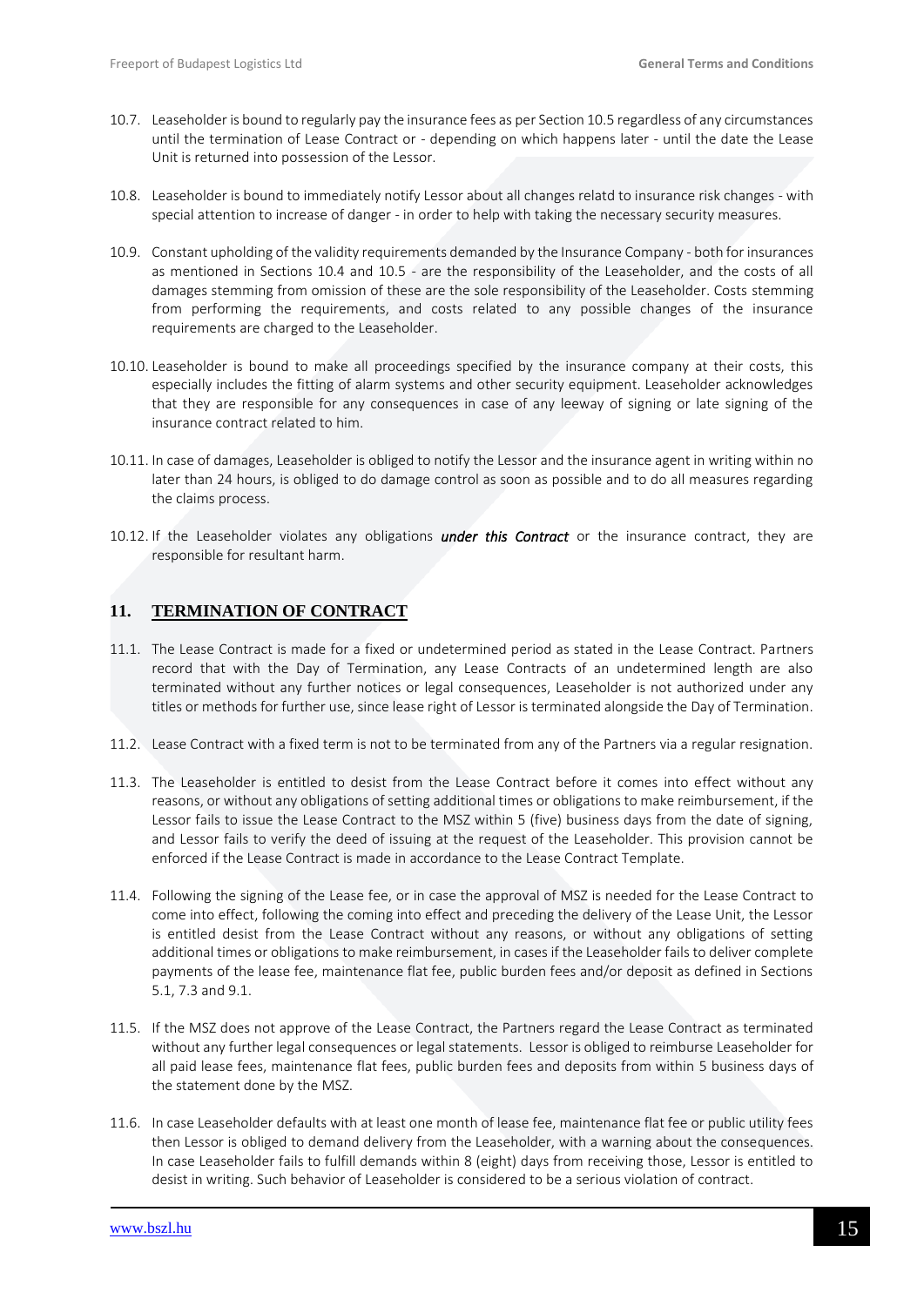- 10.7. Leaseholder is bound to regularly pay the insurance fees as per Section 10.5 regardless of any circumstances until the termination of Lease Contract or - depending on which happens later - until the date the Lease Unit is returned into possession of the Lessor.
- 10.8. Leaseholder is bound to immediately notify Lessor about all changes relatd to insurance risk changes with special attention to increase of danger - in order to help with taking the necessary security measures.
- 10.9. Constant upholding of the validity requirements demanded by the Insurance Company both for insurances as mentioned in Sections 10.4 and 10.5 - are the responsibility of the Leaseholder, and the costs of all damages stemming from omission of these are the sole responsibility of the Leaseholder. Costs stemming from performing the requirements, and costs related to any possible changes of the insurance requirements are charged to the Leaseholder.
- 10.10. Leaseholder is bound to make all proceedings specified by the insurance company at their costs, this especially includes the fitting of alarm systems and other security equipment. Leaseholder acknowledges that they are responsible for any consequences in case of any leeway of signing or late signing of the insurance contract related to him.
- 10.11. In case of damages, Leaseholder is obliged to notify the Lessor and the insurance agent in writing within no later than 24 hours, is obliged to do damage control as soon as possible and to do all measures regarding the claims process.
- 10.12. If the Leaseholder violates any obligations *under this Contract* or the insurance contract, they are responsible for resultant harm.

### <span id="page-14-0"></span>**11. TERMINATION OF CONTRACT**

- 11.1. The Lease Contract is made for a fixed or undetermined period as stated in the Lease Contract. Partners record that with the Day of Termination, any Lease Contracts of an undetermined length are also terminated without any further notices or legal consequences, Leaseholder is not authorized under any titles or methods for further use, since lease right of Lessor is terminated alongside the Day of Termination.
- 11.2. Lease Contract with a fixed term is not to be terminated from any of the Partners via a regular resignation.
- 11.3. The Leaseholder is entitled to desist from the Lease Contract before it comes into effect without any reasons, or without any obligations of setting additional times or obligations to make reimbursement, if the Lessor fails to issue the Lease Contract to the MSZ within 5 (five) business days from the date of signing, and Lessor fails to verify the deed of issuing at the request of the Leaseholder. This provision cannot be enforced if the Lease Contract is made in accordance to the Lease Contract Template.
- 11.4. Following the signing of the Lease fee, or in case the approval of MSZ is needed for the Lease Contract to come into effect, following the coming into effect and preceding the delivery of the Lease Unit, the Lessor is entitled desist from the Lease Contract without any reasons, or without any obligations of setting additional times or obligations to make reimbursement, in cases if the Leaseholder fails to deliver complete payments of the lease fee, maintenance flat fee, public burden fees and/or deposit as defined in Sections 5.1, 7.3 and 9.1.
- 11.5. If the MSZ does not approve of the Lease Contract, the Partners regard the Lease Contract as terminated without any further legal consequences or legal statements. Lessor is obliged to reimburse Leaseholder for all paid lease fees, maintenance flat fees, public burden fees and deposits from within 5 business days of the statement done by the MSZ.
- 11.6. In case Leaseholder defaults with at least one month of lease fee, maintenance flat fee or public utility fees then Lessor is obliged to demand delivery from the Leaseholder, with a warning about the consequences. In case Leaseholder fails to fulfill demands within 8 (eight) days from receiving those, Lessor is entitled to desist in writing. Such behavior of Leaseholder is considered to be a serious violation of contract.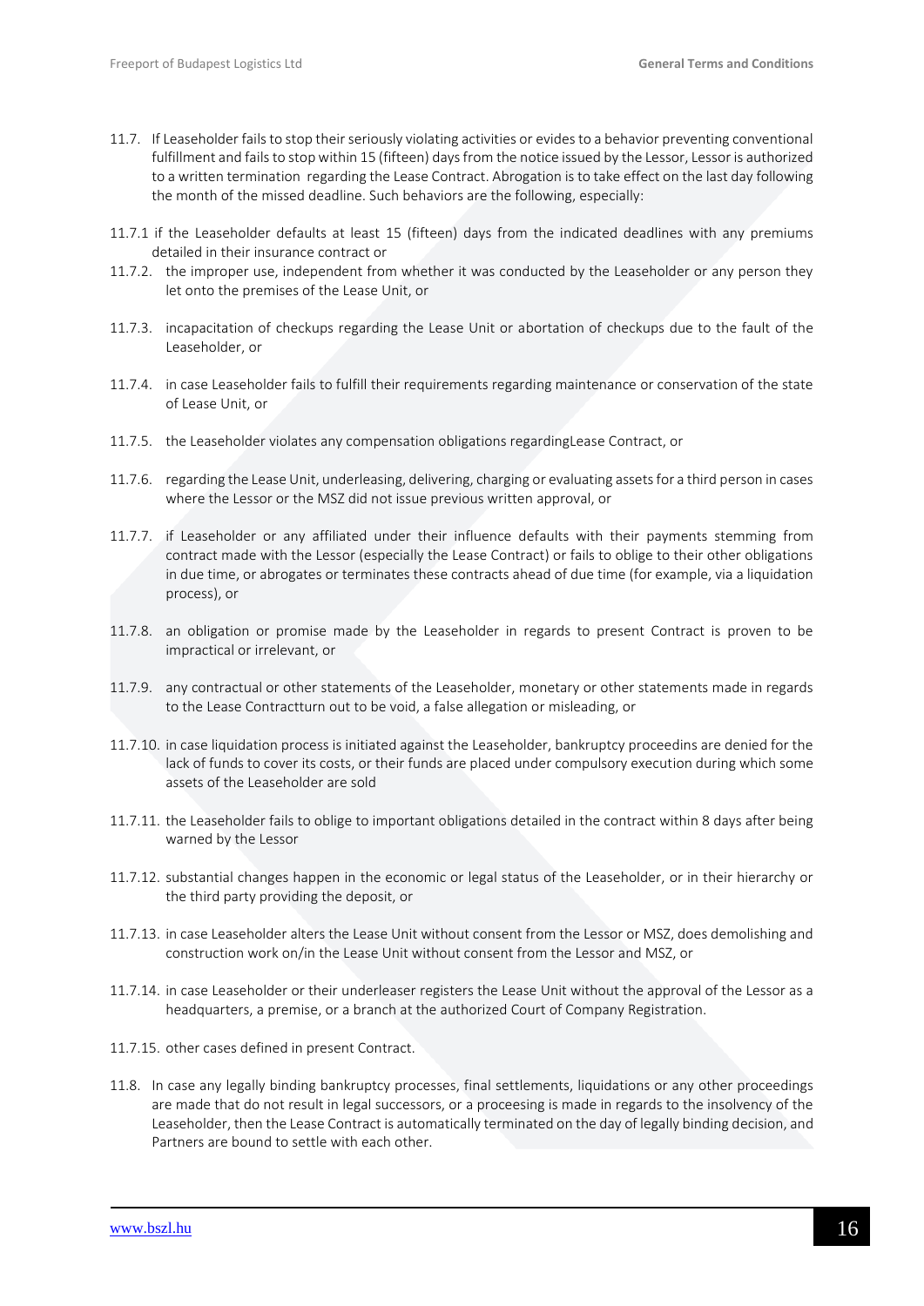- 11.7. If Leaseholder fails to stop their seriously violating activities or evides to a behavior preventing conventional fulfillment and fails to stop within 15 (fifteen) days from the notice issued by the Lessor, Lessor is authorized to a written termination regarding the Lease Contract. Abrogation is to take effect on the last day following the month of the missed deadline. Such behaviors are the following, especially:
- 11.7.1 if the Leaseholder defaults at least 15 (fifteen) days from the indicated deadlines with any premiums detailed in their insurance contract or
- 11.7.2. the improper use, independent from whether it was conducted by the Leaseholder or any person they let onto the premises of the Lease Unit, or
- 11.7.3. incapacitation of checkups regarding the Lease Unit or abortation of checkups due to the fault of the Leaseholder, or
- 11.7.4. in case Leaseholder fails to fulfill their requirements regarding maintenance or conservation of the state of Lease Unit, or
- 11.7.5. the Leaseholder violates any compensation obligations regardingLease Contract, or
- 11.7.6. regarding the Lease Unit, underleasing, delivering, charging or evaluating assets for a third person in cases where the Lessor or the MSZ did not issue previous written approval, or
- 11.7.7. if Leaseholder or any affiliated under their influence defaults with their payments stemming from contract made with the Lessor (especially the Lease Contract) or fails to oblige to their other obligations in due time, or abrogates or terminates these contracts ahead of due time (for example, via a liquidation process), or
- 11.7.8. an obligation or promise made by the Leaseholder in regards to present Contract is proven to be impractical or irrelevant, or
- 11.7.9. any contractual or other statements of the Leaseholder, monetary or other statements made in regards to the Lease Contractturn out to be void, a false allegation or misleading, or
- 11.7.10. in case liquidation process is initiated against the Leaseholder, bankruptcy proceedins are denied for the lack of funds to cover its costs, or their funds are placed under compulsory execution during which some assets of the Leaseholder are sold
- 11.7.11. the Leaseholder fails to oblige to important obligations detailed in the contract within 8 days after being warned by the Lessor
- 11.7.12. substantial changes happen in the economic or legal status of the Leaseholder, or in their hierarchy or the third party providing the deposit, or
- 11.7.13. in case Leaseholder alters the Lease Unit without consent from the Lessor or MSZ, does demolishing and construction work on/in the Lease Unit without consent from the Lessor and MSZ, or
- 11.7.14. in case Leaseholder or their underleaser registers the Lease Unit without the approval of the Lessor as a headquarters, a premise, or a branch at the authorized Court of Company Registration.
- 11.7.15. other cases defined in present Contract.
- 11.8. In case any legally binding bankruptcy processes, final settlements, liquidations or any other proceedings are made that do not result in legal successors, or a proceesing is made in regards to the insolvency of the Leaseholder, then the Lease Contract is automatically terminated on the day of legally binding decision, and Partners are bound to settle with each other.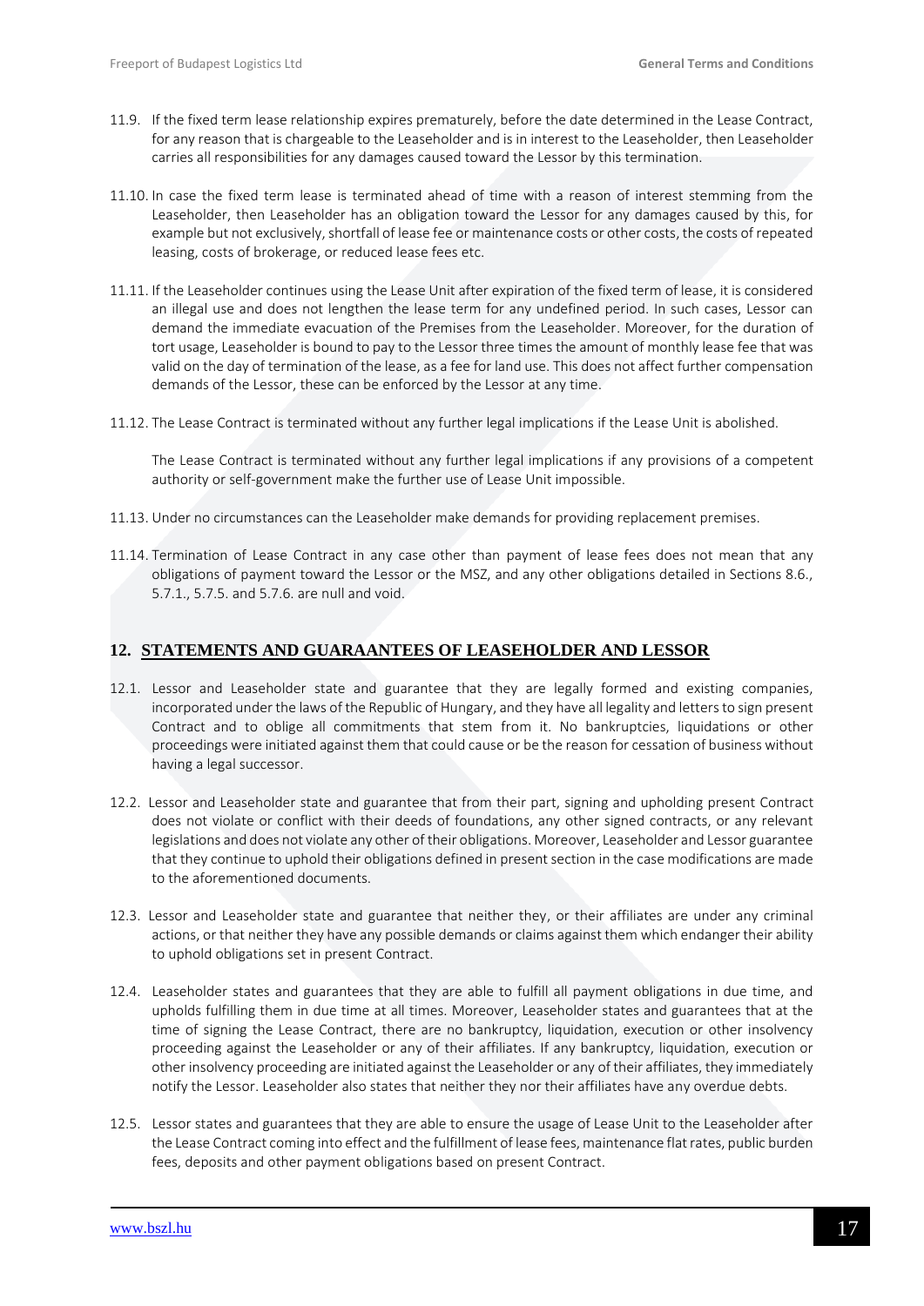- 11.9. If the fixed term lease relationship expires prematurely, before the date determined in the Lease Contract, for any reason that is chargeable to the Leaseholder and is in interest to the Leaseholder, then Leaseholder carries all responsibilities for any damages caused toward the Lessor by this termination.
- 11.10. In case the fixed term lease is terminated ahead of time with a reason of interest stemming from the Leaseholder, then Leaseholder has an obligation toward the Lessor for any damages caused by this, for example but not exclusively, shortfall of lease fee or maintenance costs or other costs, the costs of repeated leasing, costs of brokerage, or reduced lease fees etc.
- 11.11. If the Leaseholder continues using the Lease Unit after expiration of the fixed term of lease, it is considered an illegal use and does not lengthen the lease term for any undefined period. In such cases, Lessor can demand the immediate evacuation of the Premises from the Leaseholder. Moreover, for the duration of tort usage, Leaseholder is bound to pay to the Lessor three times the amount of monthly lease fee that was valid on the day of termination of the lease, as a fee for land use. This does not affect further compensation demands of the Lessor, these can be enforced by the Lessor at any time.
- 11.12. The Lease Contract is terminated without any further legal implications if the Lease Unit is abolished.

The Lease Contract is terminated without any further legal implications if any provisions of a competent authority or self-government make the further use of Lease Unit impossible.

- 11.13. Under no circumstances can the Leaseholder make demands for providing replacement premises.
- 11.14. Termination of Lease Contract in any case other than payment of lease fees does not mean that any obligations of payment toward the Lessor or the MSZ, and any other obligations detailed in Sections 8.6., 5.7.1., 5.7.5. and 5.7.6. are null and void.

### <span id="page-16-0"></span>**12. STATEMENTS AND GUARAANTEES OF LEASEHOLDER AND LESSOR**

- 12.1. Lessor and Leaseholder state and guarantee that they are legally formed and existing companies, incorporated under the laws of the Republic of Hungary, and they have all legality and letters to sign present Contract and to oblige all commitments that stem from it. No bankruptcies, liquidations or other proceedings were initiated against them that could cause or be the reason for cessation of business without having a legal successor.
- 12.2. Lessor and Leaseholder state and guarantee that from their part, signing and upholding present Contract does not violate or conflict with their deeds of foundations, any other signed contracts, or any relevant legislations and does not violate any other of their obligations. Moreover, Leaseholder and Lessor guarantee that they continue to uphold their obligations defined in present section in the case modifications are made to the aforementioned documents.
- 12.3. Lessor and Leaseholder state and guarantee that neither they, or their affiliates are under any criminal actions, or that neither they have any possible demands or claims against them which endanger their ability to uphold obligations set in present Contract.
- 12.4. Leaseholder states and guarantees that they are able to fulfill all payment obligations in due time, and upholds fulfilling them in due time at all times. Moreover, Leaseholder states and guarantees that at the time of signing the Lease Contract, there are no bankruptcy, liquidation, execution or other insolvency proceeding against the Leaseholder or any of their affiliates. If any bankruptcy, liquidation, execution or other insolvency proceeding are initiated against the Leaseholder or any of their affiliates, they immediately notify the Lessor. Leaseholder also states that neither they nor their affiliates have any overdue debts.
- 12.5. Lessor states and guarantees that they are able to ensure the usage of Lease Unit to the Leaseholder after the Lease Contract coming into effect and the fulfillment of lease fees, maintenance flat rates, public burden fees, deposits and other payment obligations based on present Contract.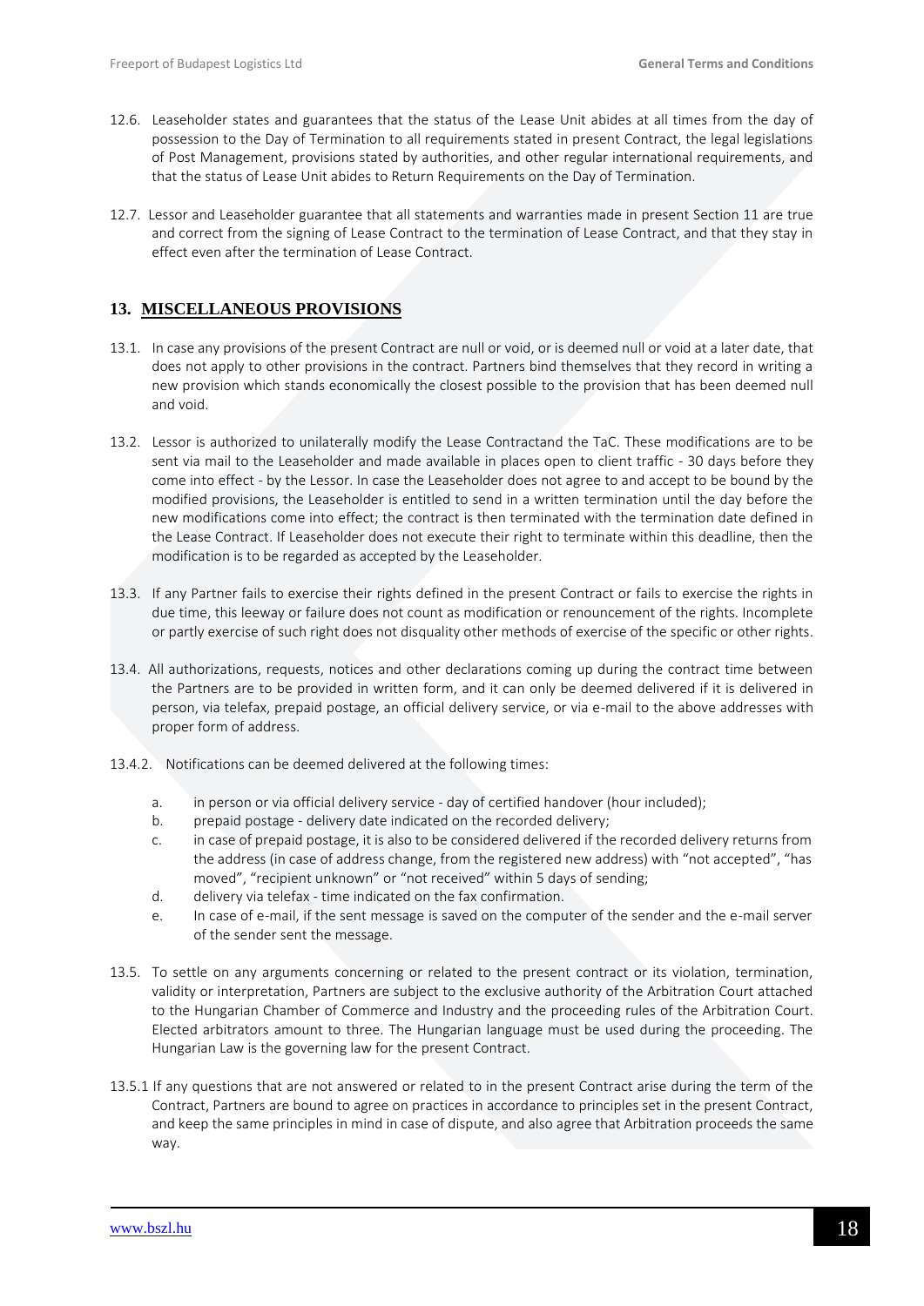- 12.6. Leaseholder states and guarantees that the status of the Lease Unit abides at all times from the day of possession to the Day of Termination to all requirements stated in present Contract, the legal legislations of Post Management, provisions stated by authorities, and other regular international requirements, and that the status of Lease Unit abides to Return Requirements on the Day of Termination.
- 12.7. Lessor and Leaseholder guarantee that all statements and warranties made in present Section 11 are true and correct from the signing of Lease Contract to the termination of Lease Contract, and that they stay in effect even after the termination of Lease Contract.

### <span id="page-17-0"></span>**13. MISCELLANEOUS PROVISIONS**

- 13.1. In case any provisions of the present Contract are null or void, or is deemed null or void at a later date, that does not apply to other provisions in the contract. Partners bind themselves that they record in writing a new provision which stands economically the closest possible to the provision that has been deemed null and void.
- 13.2. Lessor is authorized to unilaterally modify the Lease Contractand the TaC. These modifications are to be sent via mail to the Leaseholder and made available in places open to client traffic - 30 days before they come into effect - by the Lessor. In case the Leaseholder does not agree to and accept to be bound by the modified provisions, the Leaseholder is entitled to send in a written termination until the day before the new modifications come into effect; the contract is then terminated with the termination date defined in the Lease Contract. If Leaseholder does not execute their right to terminate within this deadline, then the modification is to be regarded as accepted by the Leaseholder.
- 13.3. If any Partner fails to exercise their rights defined in the present Contract or fails to exercise the rights in due time, this leeway or failure does not count as modification or renouncement of the rights. Incomplete or partly exercise of such right does not disquality other methods of exercise of the specific or other rights.
- 13.4. All authorizations, requests, notices and other declarations coming up during the contract time between the Partners are to be provided in written form, and it can only be deemed delivered if it is delivered in person, via telefax, prepaid postage, an official delivery service, or via e-mail to the above addresses with proper form of address.
- 13.4.2. Notifications can be deemed delivered at the following times:
	- a. in person or via official delivery service day of certified handover (hour included);
	- b. prepaid postage delivery date indicated on the recorded delivery;
	- c. in case of prepaid postage, it is also to be considered delivered if the recorded delivery returns from the address (in case of address change, from the registered new address) with "not accepted", "has moved", "recipient unknown" or "not received" within 5 days of sending;
	- d. delivery via telefax time indicated on the fax confirmation.
	- e. In case of e-mail, if the sent message is saved on the computer of the sender and the e-mail server of the sender sent the message.
- 13.5. To settle on any arguments concerning or related to the present contract or its violation, termination, validity or interpretation, Partners are subject to the exclusive authority of the Arbitration Court attached to the Hungarian Chamber of Commerce and Industry and the proceeding rules of the Arbitration Court. Elected arbitrators amount to three. The Hungarian language must be used during the proceeding. The Hungarian Law is the governing law for the present Contract.
- 13.5.1 If any questions that are not answered or related to in the present Contract arise during the term of the Contract, Partners are bound to agree on practices in accordance to principles set in the present Contract, and keep the same principles in mind in case of dispute, and also agree that Arbitration proceeds the same way.